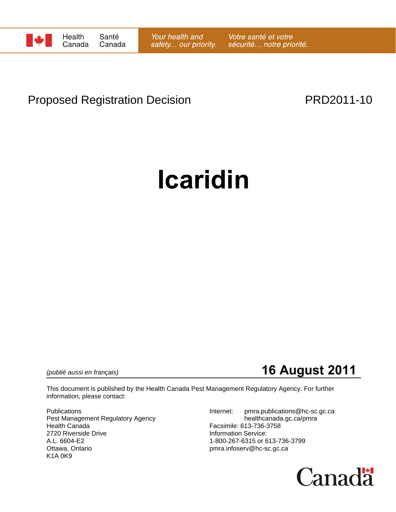

## Proposed Registration Decision **PRD2011-10**

# **Icaridin**

*(publié aussi en français)* **16 August 2011**

This document is published by the Health Canada Pest Management Regulatory Agency. For further information, please contact:

Pest Management Regulatory Agency healthcanada.gc.ca/pmra Health Canada Facsimile: 613-736-3758 2720 Riverside Drive **Information Service:**<br>A.L. 6604-E2 1-800-267-6315 or 6 A.L. 6604-E2 1-800-267-6315 or 613-736-3799<br>Ottawa, Ontario 11-800-267-6315 or 613-736-3799 K1A 0K9

Publications **Internet:** pmra.publications@hc-sc.gc.ca pmra.infoserv@hc-sc.gc.ca

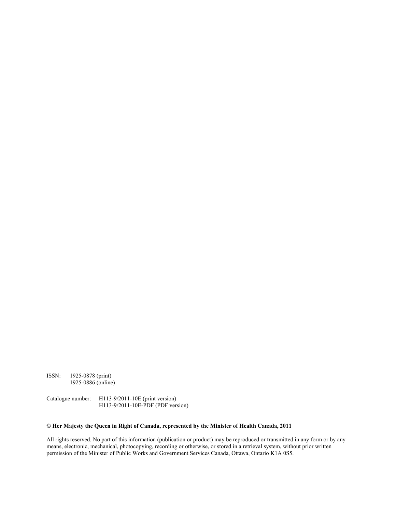ISSN: 1925-0878 (print) 1925-0886 (online)

Catalogue number: H113-9/2011-10E (print version) H113-9/2011-10E-PDF (PDF version)

#### **© Her Majesty the Queen in Right of Canada, represented by the Minister of Health Canada, 2011**

All rights reserved. No part of this information (publication or product) may be reproduced or transmitted in any form or by any means, electronic, mechanical, photocopying, recording or otherwise, or stored in a retrieval system, without prior written permission of the Minister of Public Works and Government Services Canada, Ottawa, Ontario K1A 0S5.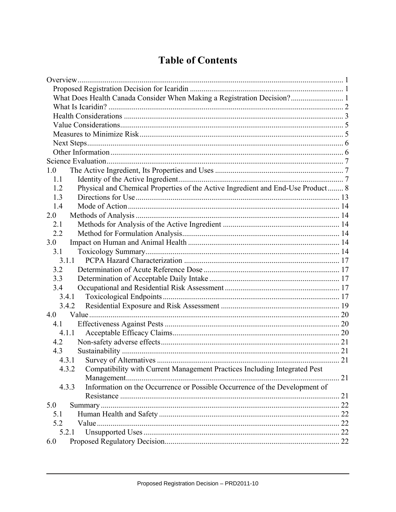## **Table of Contents**

| What Does Health Canada Consider When Making a Registration Decision? 1                |    |
|----------------------------------------------------------------------------------------|----|
|                                                                                        |    |
|                                                                                        |    |
|                                                                                        |    |
|                                                                                        |    |
|                                                                                        |    |
|                                                                                        |    |
|                                                                                        |    |
| 1.0                                                                                    |    |
| 1.1                                                                                    |    |
| Physical and Chemical Properties of the Active Ingredient and End-Use Product 8<br>1.2 |    |
| 1.3                                                                                    |    |
| 1.4                                                                                    |    |
| 2.0                                                                                    |    |
| 2.1                                                                                    |    |
| 2.2                                                                                    |    |
| 3.0                                                                                    |    |
| 3.1                                                                                    |    |
| 3.1.1                                                                                  |    |
| 3.2                                                                                    |    |
| 3.3                                                                                    |    |
| 3.4                                                                                    |    |
| 3.4.1                                                                                  |    |
| 3.4.2                                                                                  |    |
| 4.0                                                                                    |    |
| 4.1                                                                                    |    |
| 4.1.1                                                                                  |    |
| 4.2                                                                                    |    |
| 4.3                                                                                    |    |
| 4.3.1                                                                                  |    |
| Compatibility with Current Management Practices Including Integrated Pest<br>4.3.2     |    |
|                                                                                        | 21 |
| Information on the Occurrence or Possible Occurrence of the Development of<br>4.3.3    |    |
|                                                                                        |    |
| 5.0                                                                                    |    |
| 5.1                                                                                    |    |
| 5.2                                                                                    |    |
| 5.2.1                                                                                  |    |
| 6.0                                                                                    |    |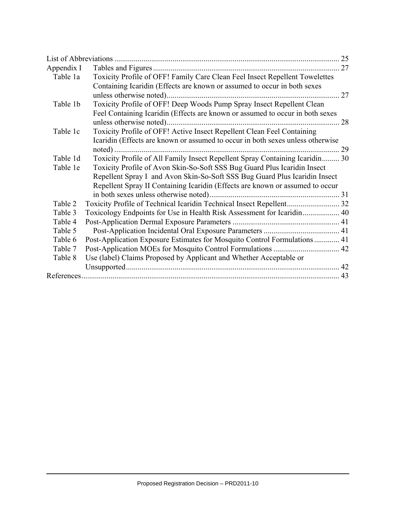|            |                                                                                | 25 |
|------------|--------------------------------------------------------------------------------|----|
| Appendix I |                                                                                | 27 |
| Table 1a   | Toxicity Profile of OFF! Family Care Clean Feel Insect Repellent Towelettes    |    |
|            | Containing Icaridin (Effects are known or assumed to occur in both sexes       |    |
|            |                                                                                | 27 |
| Table 1b   | Toxicity Profile of OFF! Deep Woods Pump Spray Insect Repellent Clean          |    |
|            | Feel Containing Icaridin (Effects are known or assumed to occur in both sexes  |    |
|            | unless otherwise noted)                                                        | 28 |
| Table 1c   | Toxicity Profile of OFF! Active Insect Repellent Clean Feel Containing         |    |
|            | Icaridin (Effects are known or assumed to occur in both sexes unless otherwise |    |
|            |                                                                                | 29 |
| Table 1d   | Toxicity Profile of All Family Insect Repellent Spray Containing Icaridin 30   |    |
| Table 1e   | Toxicity Profile of Avon Skin-So-Soft SSS Bug Guard Plus Icaridin Insect       |    |
|            | Repellent Spray I and Avon Skin-So-Soft SSS Bug Guard Plus Icaridin Insect     |    |
|            | Repellent Spray II Containing Icaridin (Effects are known or assumed to occur  |    |
|            |                                                                                |    |
| Table 2    |                                                                                |    |
| Table 3    | Toxicology Endpoints for Use in Health Risk Assessment for Icaridin 40         |    |
| Table 4    |                                                                                |    |
| Table 5    |                                                                                |    |
| Table 6    | Post-Application Exposure Estimates for Mosquito Control Formulations  41      |    |
| Table 7    |                                                                                |    |
| Table 8    | Use (label) Claims Proposed by Applicant and Whether Acceptable or             |    |
|            |                                                                                |    |
|            |                                                                                |    |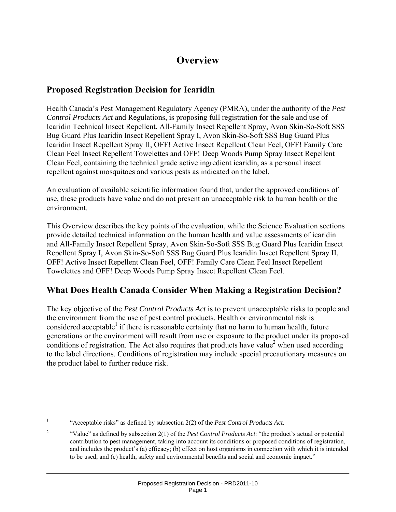## **Overview**

## **Proposed Registration Decision for Icaridin**

Health Canada's Pest Management Regulatory Agency (PMRA), under the authority of the *Pest Control Products Act* and Regulations, is proposing full registration for the sale and use of Icaridin Technical Insect Repellent, All-Family Insect Repellent Spray, Avon Skin-So-Soft SSS Bug Guard Plus Icaridin Insect Repellent Spray I, Avon Skin-So-Soft SSS Bug Guard Plus Icaridin Insect Repellent Spray II, OFF! Active Insect Repellent Clean Feel, OFF! Family Care Clean Feel Insect Repellent Towelettes and OFF! Deep Woods Pump Spray Insect Repellent Clean Feel, containing the technical grade active ingredient icaridin, as a personal insect repellent against mosquitoes and various pests as indicated on the label.

An evaluation of available scientific information found that, under the approved conditions of use, these products have value and do not present an unacceptable risk to human health or the environment.

This Overview describes the key points of the evaluation, while the Science Evaluation sections provide detailed technical information on the human health and value assessments of icaridin and All-Family Insect Repellent Spray, Avon Skin-So-Soft SSS Bug Guard Plus Icaridin Insect Repellent Spray I, Avon Skin-So-Soft SSS Bug Guard Plus Icaridin Insect Repellent Spray II, OFF! Active Insect Repellent Clean Feel, OFF! Family Care Clean Feel Insect Repellent Towelettes and OFF! Deep Woods Pump Spray Insect Repellent Clean Feel.

## **What Does Health Canada Consider When Making a Registration Decision?**

The key objective of the *Pest Control Products Act* is to prevent unacceptable risks to people and the environment from the use of pest control products. Health or environmental risk is considered acceptable<sup>1</sup> if there is reasonable certainty that no harm to human health, future generations or the environment will result from use or exposure to the product under its proposed conditions of registration. The Act also requires that products have value<sup>2</sup> when used according to the label directions. Conditions of registration may include special precautionary measures on the product label to further reduce risk.

 $\overline{a}$ 

<sup>1</sup> "Acceptable risks" as defined by subsection 2(2) of the *Pest Control Products Act.*

<sup>2</sup> "Value" as defined by subsection 2(1) of the *Pest Control Products Act*: "the product's actual or potential contribution to pest management, taking into account its conditions or proposed conditions of registration, and includes the product's (a) efficacy; (b) effect on host organisms in connection with which it is intended to be used; and (c) health, safety and environmental benefits and social and economic impact."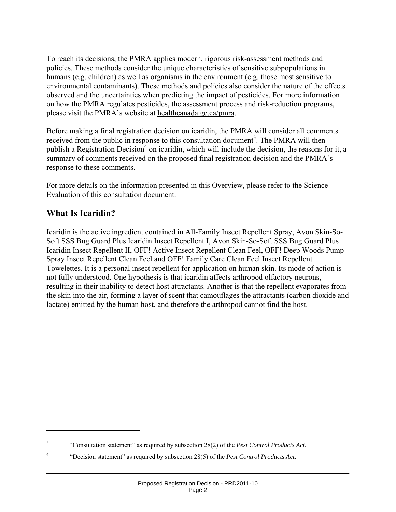To reach its decisions, the PMRA applies modern, rigorous risk-assessment methods and policies. These methods consider the unique characteristics of sensitive subpopulations in humans (e.g. children) as well as organisms in the environment (e.g. those most sensitive to environmental contaminants). These methods and policies also consider the nature of the effects observed and the uncertainties when predicting the impact of pesticides. For more information on how the PMRA regulates pesticides, the assessment process and risk-reduction programs, please visit the PMRA's website at healthcanada.gc.ca/pmra.

Before making a final registration decision on icaridin, the PMRA will consider all comments received from the public in response to this consultation document<sup>3</sup>. The PMRA will then publish a Registration Decision<sup>4</sup> on icaridin, which will include the decision, the reasons for it, a summary of comments received on the proposed final registration decision and the PMRA's response to these comments.

For more details on the information presented in this Overview, please refer to the Science Evaluation of this consultation document.

## **What Is Icaridin?**

 $\overline{a}$ 

Icaridin is the active ingredient contained in All-Family Insect Repellent Spray, Avon Skin-So-Soft SSS Bug Guard Plus Icaridin Insect Repellent I, Avon Skin-So-Soft SSS Bug Guard Plus Icaridin Insect Repellent II, OFF! Active Insect Repellent Clean Feel, OFF! Deep Woods Pump Spray Insect Repellent Clean Feel and OFF! Family Care Clean Feel Insect Repellent Towelettes. It is a personal insect repellent for application on human skin. Its mode of action is not fully understood. One hypothesis is that icaridin affects arthropod olfactory neurons, resulting in their inability to detect host attractants. Another is that the repellent evaporates from the skin into the air, forming a layer of scent that camouflages the attractants (carbon dioxide and lactate) emitted by the human host, and therefore the arthropod cannot find the host.

<sup>3</sup> "Consultation statement" as required by subsection 28(2) of the *Pest Control Products Act*.

<sup>4</sup> "Decision statement" as required by subsection 28(5) of the *Pest Control Products Act*.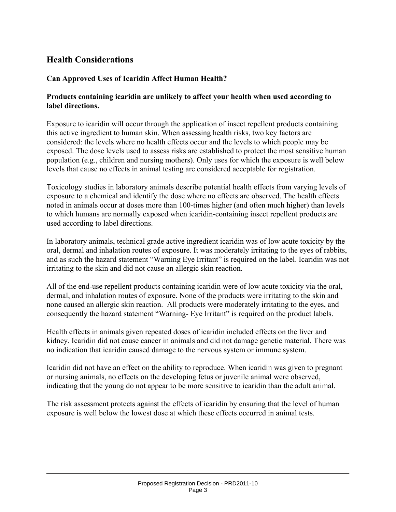## **Health Considerations**

#### **Can Approved Uses of Icaridin Affect Human Health?**

#### **Products containing icaridin are unlikely to affect your health when used according to label directions.**

Exposure to icaridin will occur through the application of insect repellent products containing this active ingredient to human skin. When assessing health risks, two key factors are considered: the levels where no health effects occur and the levels to which people may be exposed. The dose levels used to assess risks are established to protect the most sensitive human population (e.g., children and nursing mothers). Only uses for which the exposure is well below levels that cause no effects in animal testing are considered acceptable for registration.

Toxicology studies in laboratory animals describe potential health effects from varying levels of exposure to a chemical and identify the dose where no effects are observed. The health effects noted in animals occur at doses more than 100-times higher (and often much higher) than levels to which humans are normally exposed when icaridin-containing insect repellent products are used according to label directions.

In laboratory animals, technical grade active ingredient icaridin was of low acute toxicity by the oral, dermal and inhalation routes of exposure. It was moderately irritating to the eyes of rabbits, and as such the hazard statement "Warning Eye Irritant" is required on the label. Icaridin was not irritating to the skin and did not cause an allergic skin reaction.

All of the end-use repellent products containing icaridin were of low acute toxicity via the oral, dermal, and inhalation routes of exposure. None of the products were irritating to the skin and none caused an allergic skin reaction. All products were moderately irritating to the eyes, and consequently the hazard statement "Warning- Eye Irritant" is required on the product labels.

Health effects in animals given repeated doses of icaridin included effects on the liver and kidney. Icaridin did not cause cancer in animals and did not damage genetic material. There was no indication that icaridin caused damage to the nervous system or immune system.

Icaridin did not have an effect on the ability to reproduce. When icaridin was given to pregnant or nursing animals, no effects on the developing fetus or juvenile animal were observed, indicating that the young do not appear to be more sensitive to icaridin than the adult animal.

The risk assessment protects against the effects of icaridin by ensuring that the level of human exposure is well below the lowest dose at which these effects occurred in animal tests.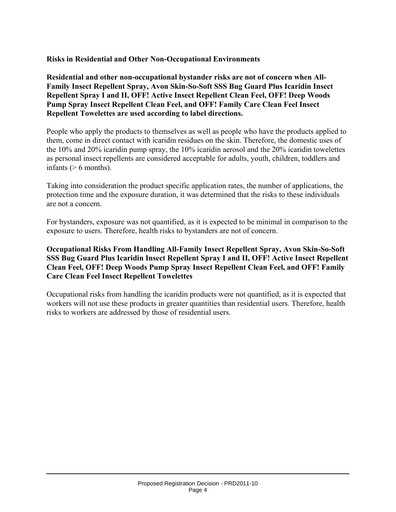**Risks in Residential and Other Non-Occupational Environments** 

**Residential and other non-occupational bystander risks are not of concern when All-Family Insect Repellent Spray, Avon Skin-So-Soft SSS Bug Guard Plus Icaridin Insect Repellent Spray I and II, OFF! Active Insect Repellent Clean Feel, OFF! Deep Woods Pump Spray Insect Repellent Clean Feel, and OFF! Family Care Clean Feel Insect Repellent Towelettes are used according to label directions.** 

People who apply the products to themselves as well as people who have the products applied to them, come in direct contact with icaridin residues on the skin. Therefore, the domestic uses of the 10% and 20% icaridin pump spray, the 10% icaridin aerosol and the 20% icaridin towelettes as personal insect repellents are considered acceptable for adults, youth, children, toddlers and infants  $($  > 6 months).

Taking into consideration the product specific application rates, the number of applications, the protection time and the exposure duration, it was determined that the risks to these individuals are not a concern.

For bystanders, exposure was not quantified, as it is expected to be minimal in comparison to the exposure to users. Therefore, health risks to bystanders are not of concern.

#### **Occupational Risks From Handling All-Family Insect Repellent Spray, Avon Skin-So-Soft SSS Bug Guard Plus Icaridin Insect Repellent Spray I and II, OFF! Active Insect Repellent Clean Feel, OFF! Deep Woods Pump Spray Insect Repellent Clean Feel, and OFF! Family Care Clean Feel Insect Repellent Towelettes**

Occupational risks from handling the icaridin products were not quantified, as it is expected that workers will not use these products in greater quantities than residential users. Therefore, health risks to workers are addressed by those of residential users.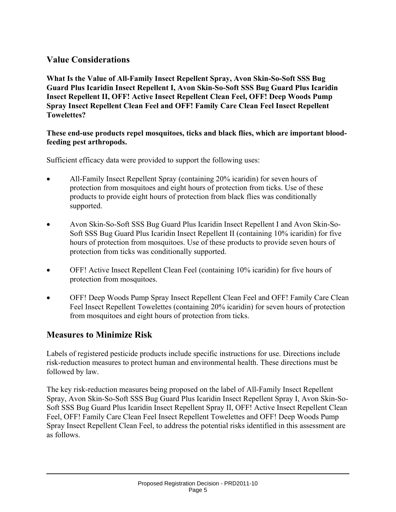## **Value Considerations**

**What Is the Value of All-Family Insect Repellent Spray, Avon Skin-So-Soft SSS Bug Guard Plus Icaridin Insect Repellent I, Avon Skin-So-Soft SSS Bug Guard Plus Icaridin Insect Repellent II, OFF! Active Insect Repellent Clean Feel, OFF! Deep Woods Pump Spray Insect Repellent Clean Feel and OFF! Family Care Clean Feel Insect Repellent Towelettes?** 

#### **These end-use products repel mosquitoes, ticks and black flies, which are important bloodfeeding pest arthropods.**

Sufficient efficacy data were provided to support the following uses:

- All-Family Insect Repellent Spray (containing 20% icaridin) for seven hours of protection from mosquitoes and eight hours of protection from ticks. Use of these products to provide eight hours of protection from black flies was conditionally supported.
- Avon Skin-So-Soft SSS Bug Guard Plus Icaridin Insect Repellent I and Avon Skin-So-Soft SSS Bug Guard Plus Icaridin Insect Repellent II (containing 10% icaridin) for five hours of protection from mosquitoes. Use of these products to provide seven hours of protection from ticks was conditionally supported.
- OFF! Active Insect Repellent Clean Feel (containing 10% icaridin) for five hours of protection from mosquitoes.
- OFF! Deep Woods Pump Spray Insect Repellent Clean Feel and OFF! Family Care Clean Feel Insect Repellent Towelettes (containing 20% icaridin) for seven hours of protection from mosquitoes and eight hours of protection from ticks.

## **Measures to Minimize Risk**

Labels of registered pesticide products include specific instructions for use. Directions include risk-reduction measures to protect human and environmental health. These directions must be followed by law.

The key risk-reduction measures being proposed on the label of All-Family Insect Repellent Spray, Avon Skin-So-Soft SSS Bug Guard Plus Icaridin Insect Repellent Spray I, Avon Skin-So-Soft SSS Bug Guard Plus Icaridin Insect Repellent Spray II, OFF! Active Insect Repellent Clean Feel, OFF! Family Care Clean Feel Insect Repellent Towelettes and OFF! Deep Woods Pump Spray Insect Repellent Clean Feel, to address the potential risks identified in this assessment are as follows.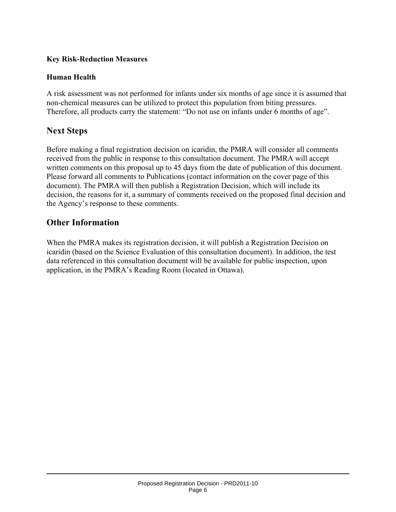#### **Key Risk-Reduction Measures**

#### **Human Health**

A risk assessment was not performed for infants under six months of age since it is assumed that non-chemical measures can be utilized to protect this population from biting pressures. Therefore, all products carry the statement: "Do not use on infants under 6 months of age".

## **Next Steps**

Before making a final registration decision on icaridin, the PMRA will consider all comments received from the public in response to this consultation document. The PMRA will accept written comments on this proposal up to 45 days from the date of publication of this document. Please forward all comments to Publications (contact information on the cover page of this document). The PMRA will then publish a Registration Decision, which will include its decision, the reasons for it, a summary of comments received on the proposed final decision and the Agency's response to these comments.

## **Other Information**

When the PMRA makes its registration decision, it will publish a Registration Decision on icaridin (based on the Science Evaluation of this consultation document). In addition, the test data referenced in this consultation document will be available for public inspection, upon application, in the PMRA's Reading Room (located in Ottawa).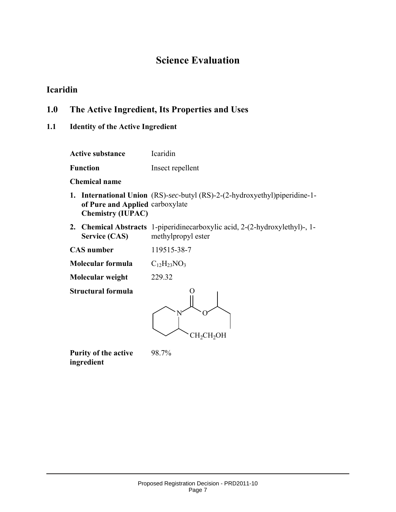## **Science Evaluation**

## **Icaridin**

## **1.0 The Active Ingredient, Its Properties and Uses**

## **1.1 Identity of the Active Ingredient**

| <b>Active substance</b>                                     | Icaridin                                                                                                 |
|-------------------------------------------------------------|----------------------------------------------------------------------------------------------------------|
| <b>Function</b>                                             | Insect repellent                                                                                         |
| <b>Chemical name</b>                                        |                                                                                                          |
| of Pure and Applied carboxylate<br><b>Chemistry (IUPAC)</b> | <b>1.</b> International Union (RS)-sec-butyl (RS)-2-(2-hydroxyethyl)piperidine-1-                        |
| <b>Service (CAS)</b>                                        | <b>2.</b> Chemical Abstracts 1-piperidinecarboxylic acid, 2-(2-hydroxylethyl)-, 1-<br>methylpropyl ester |
| <b>CAS</b> number                                           | 119515-38-7                                                                                              |
| Molecular formula                                           | $C_{12}H_{23}NO_3$                                                                                       |
| Molecular weight                                            | 229.32                                                                                                   |
| <b>Structural formula</b>                                   | CH <sub>2</sub> CH <sub>2</sub> OH                                                                       |

**Purity of the active ingredient** 

98.7%

Proposed Registration Decision - PRD2011-10 Page 7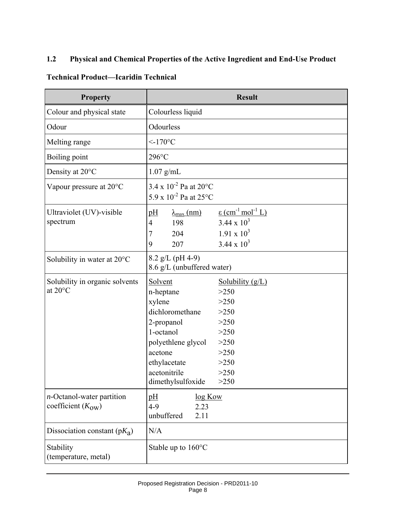#### **1.2 Physical and Chemical Properties of the Active Ingredient and End-Use Product**

#### **Technical Product—Icaridin Technical**

| <b>Property</b>                                               |                                                                                                                                                                    | <b>Result</b>                                                                                                          |
|---------------------------------------------------------------|--------------------------------------------------------------------------------------------------------------------------------------------------------------------|------------------------------------------------------------------------------------------------------------------------|
| Colour and physical state                                     | Colourless liquid                                                                                                                                                  |                                                                                                                        |
| Odour                                                         | Odourless                                                                                                                                                          |                                                                                                                        |
| Melting range                                                 | $<170^{\circ}$ C                                                                                                                                                   |                                                                                                                        |
| Boiling point                                                 | $296^{\circ}$ C                                                                                                                                                    |                                                                                                                        |
| Density at 20°C                                               | $1.07$ g/mL                                                                                                                                                        |                                                                                                                        |
| Vapour pressure at 20°C                                       | $3.4 \times 10^{-2}$ Pa at 20°C<br>5.9 x $10^{-2}$ Pa at 25°C                                                                                                      |                                                                                                                        |
| Ultraviolet (UV)-visible<br>spectrum                          | pH<br>$\lambda_{\text{max}}$ (nm)<br>198<br>4<br>204<br>7<br>207<br>9                                                                                              | $\varepsilon$ (cm <sup>-1</sup> mol <sup>-1</sup> L)<br>$3.44 \times 10^3$<br>$1.91 \times 10^3$<br>$3.44 \times 10^3$ |
| Solubility in water at 20°C                                   | 8.2 g/L (pH 4-9)<br>8.6 g/L (unbuffered water)                                                                                                                     |                                                                                                                        |
| Solubility in organic solvents<br>at 20°C                     | Solvent<br>n-heptane<br>xylene<br>dichloromethane<br>2-propanol<br>1-octanol<br>polyethlene glycol<br>acetone<br>ethylacetate<br>acetonitrile<br>dimethylsulfoxide | Solubility $(g/L)$<br>>250<br>>250<br>>250<br>>250<br>>250<br>>250<br>>250<br>>250<br>>250<br>>250                     |
| $n$ -Octanol-water partition<br>coefficient $(K_{\text{OW}})$ | log Kow<br>pH<br>$4-9$<br>2.23<br>unbuffered<br>2.11                                                                                                               |                                                                                                                        |
| Dissociation constant $(pK_a)$                                | N/A                                                                                                                                                                |                                                                                                                        |
| Stability<br>(temperature, metal)                             | Stable up to $160^{\circ}$ C                                                                                                                                       |                                                                                                                        |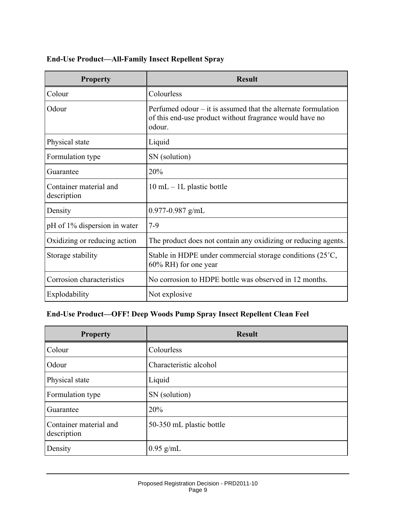#### **End-Use Product—All-Family Insect Repellent Spray**

| <b>Property</b>                       | <b>Result</b>                                                                                                                        |
|---------------------------------------|--------------------------------------------------------------------------------------------------------------------------------------|
| Colour                                | Colourless                                                                                                                           |
| Odour                                 | Perfumed odour $-$ it is assumed that the alternate formulation<br>of this end-use product without fragrance would have no<br>odour. |
| Physical state                        | Liquid                                                                                                                               |
| Formulation type                      | SN (solution)                                                                                                                        |
| Guarantee                             | 20%                                                                                                                                  |
| Container material and<br>description | $10 \text{ mL} - 1L$ plastic bottle                                                                                                  |
| Density                               | $0.977 - 0.987$ g/mL                                                                                                                 |
| pH of 1% dispersion in water          | $7-9$                                                                                                                                |
| Oxidizing or reducing action          | The product does not contain any oxidizing or reducing agents.                                                                       |
| Storage stability                     | Stable in HDPE under commercial storage conditions (25°C,<br>60% RH) for one year                                                    |
| Corrosion characteristics             | No corrosion to HDPE bottle was observed in 12 months.                                                                               |
| Explodability                         | Not explosive                                                                                                                        |

#### **End-Use Product—OFF! Deep Woods Pump Spray Insect Repellent Clean Feel**

| <b>Property</b>                       | <b>Result</b>            |
|---------------------------------------|--------------------------|
| Colour                                | Colourless               |
| Odour                                 | Characteristic alcohol   |
| Physical state                        | Liquid                   |
| Formulation type                      | SN (solution)            |
| Guarantee                             | 20%                      |
| Container material and<br>description | 50-350 mL plastic bottle |
| Density                               | $0.95$ g/mL              |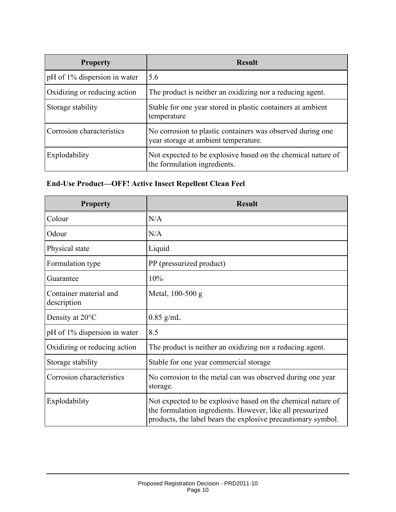| <b>Property</b>              | <b>Result</b>                                                                                      |
|------------------------------|----------------------------------------------------------------------------------------------------|
| pH of 1% dispersion in water | 5.6                                                                                                |
| Oxidizing or reducing action | The product is neither an oxidizing nor a reducing agent.                                          |
| Storage stability            | Stable for one year stored in plastic containers at ambient<br>temperature                         |
| Corrosion characteristics    | No corrosion to plastic containers was observed during one<br>year storage at ambient temperature. |
| Explodability                | Not expected to be explosive based on the chemical nature of<br>the formulation ingredients.       |

#### **End-Use Product—OFF! Active Insect Repellent Clean Feel**

| <b>Property</b>                       | <b>Result</b>                                                                                                                                                                               |
|---------------------------------------|---------------------------------------------------------------------------------------------------------------------------------------------------------------------------------------------|
| Colour                                | N/A                                                                                                                                                                                         |
| Odour                                 | N/A                                                                                                                                                                                         |
| Physical state                        | Liquid                                                                                                                                                                                      |
| Formulation type                      | PP (pressurized product)                                                                                                                                                                    |
| Guarantee                             | 10%                                                                                                                                                                                         |
| Container material and<br>description | Metal, 100-500 g                                                                                                                                                                            |
| Density at 20°C                       | $0.85$ g/mL                                                                                                                                                                                 |
| pH of 1% dispersion in water          | 8.5                                                                                                                                                                                         |
| Oxidizing or reducing action          | The product is neither an oxidizing nor a reducing agent.                                                                                                                                   |
| Storage stability                     | Stable for one year commercial storage                                                                                                                                                      |
| Corrosion characteristics             | No corrosion to the metal can was observed during one year<br>storage.                                                                                                                      |
| Explodability                         | Not expected to be explosive based on the chemical nature of<br>the formulation ingredients. However, like all pressurized<br>products, the label bears the explosive precautionary symbol. |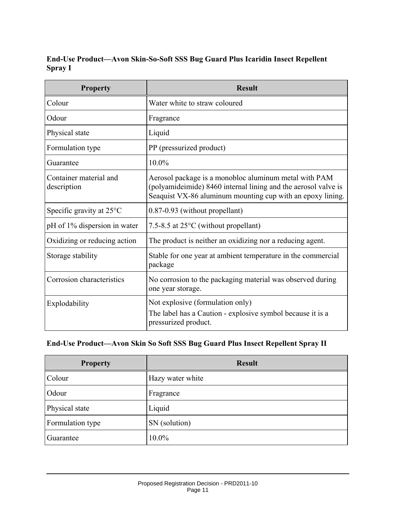#### **End-Use Product—Avon Skin-So-Soft SSS Bug Guard Plus Icaridin Insect Repellent Spray I**

| <b>Property</b>                       | <b>Result</b>                                                                                                                                                                         |
|---------------------------------------|---------------------------------------------------------------------------------------------------------------------------------------------------------------------------------------|
| Colour                                | Water white to straw coloured                                                                                                                                                         |
| Odour                                 | Fragrance                                                                                                                                                                             |
| Physical state                        | Liquid                                                                                                                                                                                |
| Formulation type                      | PP (pressurized product)                                                                                                                                                              |
| Guarantee                             | 10.0%                                                                                                                                                                                 |
| Container material and<br>description | Aerosol package is a monobloc aluminum metal with PAM<br>(polyamideimide) 8460 internal lining and the aerosol valve is<br>Seaquist VX-86 aluminum mounting cup with an epoxy lining. |
| Specific gravity at $25^{\circ}$ C    | 0.87-0.93 (without propellant)                                                                                                                                                        |
| pH of 1% dispersion in water          | 7.5-8.5 at $25^{\circ}$ C (without propellant)                                                                                                                                        |
| Oxidizing or reducing action          | The product is neither an oxidizing nor a reducing agent.                                                                                                                             |
| Storage stability                     | Stable for one year at ambient temperature in the commercial<br>package                                                                                                               |
| Corrosion characteristics             | No corrosion to the packaging material was observed during<br>one year storage.                                                                                                       |
| Explodability                         | Not explosive (formulation only)<br>The label has a Caution - explosive symbol because it is a<br>pressurized product.                                                                |

## **End-Use Product—Avon Skin So Soft SSS Bug Guard Plus Insect Repellent Spray II**

| <b>Property</b>  | <b>Result</b>    |
|------------------|------------------|
| Colour           | Hazy water white |
| Odour            | Fragrance        |
| Physical state   | Liquid           |
| Formulation type | SN (solution)    |
| Guarantee        | 10.0%            |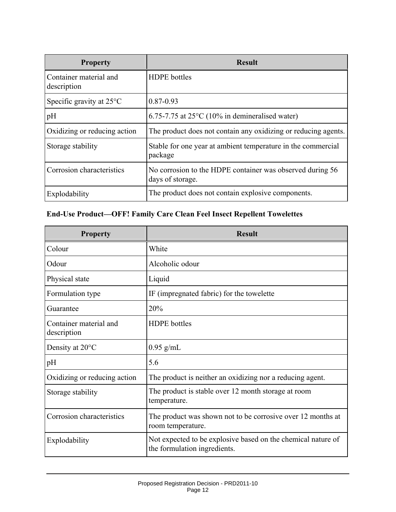| <b>Property</b>                       | <b>Result</b>                                                                 |
|---------------------------------------|-------------------------------------------------------------------------------|
| Container material and<br>description | <b>HDPE</b> bottles                                                           |
| Specific gravity at $25^{\circ}$ C    | 0.87-0.93                                                                     |
| pH                                    | $6.75$ -7.75 at 25 $^{\circ}$ C (10% in demineralised water)                  |
| Oxidizing or reducing action          | The product does not contain any oxidizing or reducing agents.                |
| Storage stability                     | Stable for one year at ambient temperature in the commercial<br>package       |
| Corrosion characteristics             | No corrosion to the HDPE container was observed during 56<br>days of storage. |
| Explodability                         | The product does not contain explosive components.                            |

## **End-Use Product—OFF! Family Care Clean Feel Insect Repellent Towelettes**

| <b>Property</b>                       | <b>Result</b>                                                                                |
|---------------------------------------|----------------------------------------------------------------------------------------------|
| Colour                                | White                                                                                        |
| Odour                                 | Alcoholic odour                                                                              |
| Physical state                        | Liquid                                                                                       |
| Formulation type                      | IF (impregnated fabric) for the towelette                                                    |
| Guarantee                             | 20%                                                                                          |
| Container material and<br>description | <b>HDPE</b> bottles                                                                          |
| Density at $20^{\circ}$ C             | $0.95$ g/mL                                                                                  |
| pH                                    | 5.6                                                                                          |
| Oxidizing or reducing action          | The product is neither an oxidizing nor a reducing agent.                                    |
| Storage stability                     | The product is stable over 12 month storage at room<br>temperature.                          |
| Corrosion characteristics             | The product was shown not to be corrosive over 12 months at<br>room temperature.             |
| Explodability                         | Not expected to be explosive based on the chemical nature of<br>the formulation ingredients. |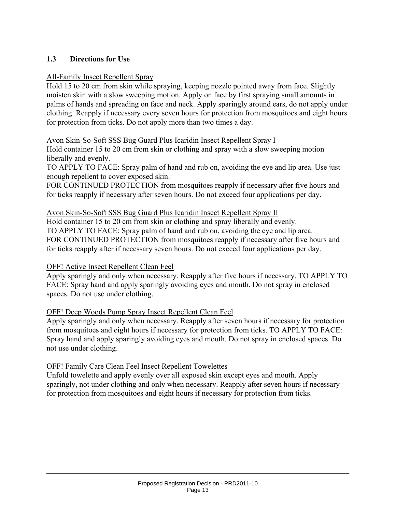#### **1.3 Directions for Use**

#### All-Family Insect Repellent Spray

Hold 15 to 20 cm from skin while spraying, keeping nozzle pointed away from face. Slightly moisten skin with a slow sweeping motion. Apply on face by first spraying small amounts in palms of hands and spreading on face and neck. Apply sparingly around ears, do not apply under clothing. Reapply if necessary every seven hours for protection from mosquitoes and eight hours for protection from ticks. Do not apply more than two times a day.

#### Avon Skin-So-Soft SSS Bug Guard Plus Icaridin Insect Repellent Spray I

Hold container 15 to 20 cm from skin or clothing and spray with a slow sweeping motion liberally and evenly.

TO APPLY TO FACE: Spray palm of hand and rub on, avoiding the eye and lip area. Use just enough repellent to cover exposed skin.

FOR CONTINUED PROTECTION from mosquitoes reapply if necessary after five hours and for ticks reapply if necessary after seven hours. Do not exceed four applications per day.

#### Avon Skin-So-Soft SSS Bug Guard Plus Icaridin Insect Repellent Spray II

Hold container 15 to 20 cm from skin or clothing and spray liberally and evenly. TO APPLY TO FACE: Spray palm of hand and rub on, avoiding the eye and lip area. FOR CONTINUED PROTECTION from mosquitoes reapply if necessary after five hours and for ticks reapply after if necessary seven hours. Do not exceed four applications per day.

#### OFF! Active Insect Repellent Clean Feel

Apply sparingly and only when necessary. Reapply after five hours if necessary. TO APPLY TO FACE: Spray hand and apply sparingly avoiding eyes and mouth. Do not spray in enclosed spaces. Do not use under clothing.

#### OFF! Deep Woods Pump Spray Insect Repellent Clean Feel

Apply sparingly and only when necessary. Reapply after seven hours if necessary for protection from mosquitoes and eight hours if necessary for protection from ticks. TO APPLY TO FACE: Spray hand and apply sparingly avoiding eyes and mouth. Do not spray in enclosed spaces. Do not use under clothing.

#### OFF! Family Care Clean Feel Insect Repellent Towelettes

Unfold towelette and apply evenly over all exposed skin except eyes and mouth. Apply sparingly, not under clothing and only when necessary. Reapply after seven hours if necessary for protection from mosquitoes and eight hours if necessary for protection from ticks.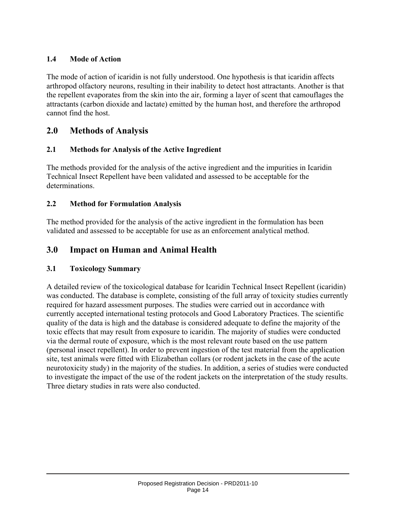### **1.4 Mode of Action**

The mode of action of icaridin is not fully understood. One hypothesis is that icaridin affects arthropod olfactory neurons, resulting in their inability to detect host attractants. Another is that the repellent evaporates from the skin into the air, forming a layer of scent that camouflages the attractants (carbon dioxide and lactate) emitted by the human host, and therefore the arthropod cannot find the host.

## **2.0 Methods of Analysis**

#### **2.1 Methods for Analysis of the Active Ingredient**

The methods provided for the analysis of the active ingredient and the impurities in Icaridin Technical Insect Repellent have been validated and assessed to be acceptable for the determinations.

#### **2.2 Method for Formulation Analysis**

The method provided for the analysis of the active ingredient in the formulation has been validated and assessed to be acceptable for use as an enforcement analytical method.

## **3.0 Impact on Human and Animal Health**

#### **3.1 Toxicology Summary**

A detailed review of the toxicological database for Icaridin Technical Insect Repellent (icaridin) was conducted. The database is complete, consisting of the full array of toxicity studies currently required for hazard assessment purposes. The studies were carried out in accordance with currently accepted international testing protocols and Good Laboratory Practices. The scientific quality of the data is high and the database is considered adequate to define the majority of the toxic effects that may result from exposure to icaridin. The majority of studies were conducted via the dermal route of exposure, which is the most relevant route based on the use pattern (personal insect repellent). In order to prevent ingestion of the test material from the application site, test animals were fitted with Elizabethan collars (or rodent jackets in the case of the acute neurotoxicity study) in the majority of the studies. In addition, a series of studies were conducted to investigate the impact of the use of the rodent jackets on the interpretation of the study results. Three dietary studies in rats were also conducted.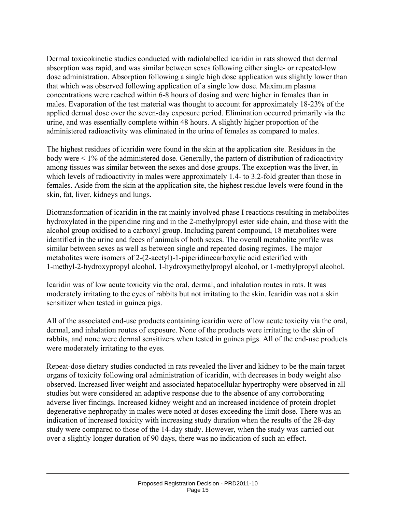Dermal toxicokinetic studies conducted with radiolabelled icaridin in rats showed that dermal absorption was rapid, and was similar between sexes following either single- or repeated-low dose administration. Absorption following a single high dose application was slightly lower than that which was observed following application of a single low dose. Maximum plasma concentrations were reached within 6-8 hours of dosing and were higher in females than in males. Evaporation of the test material was thought to account for approximately 18-23% of the applied dermal dose over the seven-day exposure period. Elimination occurred primarily via the urine, and was essentially complete within 48 hours. A slightly higher proportion of the administered radioactivity was eliminated in the urine of females as compared to males.

The highest residues of icaridin were found in the skin at the application site. Residues in the body were < 1% of the administered dose. Generally, the pattern of distribution of radioactivity among tissues was similar between the sexes and dose groups. The exception was the liver, in which levels of radioactivity in males were approximately 1.4- to 3.2-fold greater than those in females. Aside from the skin at the application site, the highest residue levels were found in the skin, fat, liver, kidneys and lungs.

Biotransformation of icaridin in the rat mainly involved phase I reactions resulting in metabolites hydroxylated in the piperidine ring and in the 2-methylpropyl ester side chain, and those with the alcohol group oxidised to a carboxyl group. Including parent compound, 18 metabolites were identified in the urine and feces of animals of both sexes. The overall metabolite profile was similar between sexes as well as between single and repeated dosing regimes. The major metabolites were isomers of 2-(2-acetyl)-1-piperidinecarboxylic acid esterified with 1-methyl-2-hydroxypropyl alcohol, 1-hydroxymethylpropyl alcohol, or 1-methylpropyl alcohol.

Icaridin was of low acute toxicity via the oral, dermal, and inhalation routes in rats. It was moderately irritating to the eyes of rabbits but not irritating to the skin. Icaridin was not a skin sensitizer when tested in guinea pigs.

All of the associated end-use products containing icaridin were of low acute toxicity via the oral, dermal, and inhalation routes of exposure. None of the products were irritating to the skin of rabbits, and none were dermal sensitizers when tested in guinea pigs. All of the end-use products were moderately irritating to the eyes.

Repeat-dose dietary studies conducted in rats revealed the liver and kidney to be the main target organs of toxicity following oral administration of icaridin, with decreases in body weight also observed. Increased liver weight and associated hepatocellular hypertrophy were observed in all studies but were considered an adaptive response due to the absence of any corroborating adverse liver findings. Increased kidney weight and an increased incidence of protein droplet degenerative nephropathy in males were noted at doses exceeding the limit dose. There was an indication of increased toxicity with increasing study duration when the results of the 28-day study were compared to those of the 14-day study. However, when the study was carried out over a slightly longer duration of 90 days, there was no indication of such an effect.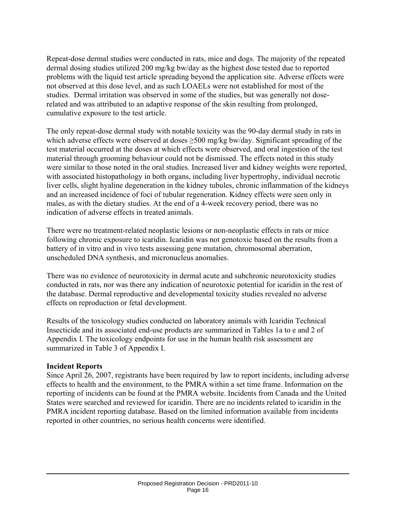Repeat-dose dermal studies were conducted in rats, mice and dogs. The majority of the repeated dermal dosing studies utilized 200 mg/kg bw/day as the highest dose tested due to reported problems with the liquid test article spreading beyond the application site. Adverse effects were not observed at this dose level, and as such LOAELs were not established for most of the studies. Dermal irritation was observed in some of the studies, but was generally not doserelated and was attributed to an adaptive response of the skin resulting from prolonged, cumulative exposure to the test article.

The only repeat-dose dermal study with notable toxicity was the 90-day dermal study in rats in which adverse effects were observed at doses ≥500 mg/kg bw/day. Significant spreading of the test material occurred at the doses at which effects were observed, and oral ingestion of the test material through grooming behaviour could not be dismissed. The effects noted in this study were similar to those noted in the oral studies. Increased liver and kidney weights were reported, with associated histopathology in both organs, including liver hypertrophy, individual necrotic liver cells, slight hyaline degeneration in the kidney tubules, chronic inflammation of the kidneys and an increased incidence of foci of tubular regeneration. Kidney effects were seen only in males, as with the dietary studies. At the end of a 4-week recovery period, there was no indication of adverse effects in treated animals.

There were no treatment-related neoplastic lesions or non-neoplastic effects in rats or mice following chronic exposure to icaridin. Icaridin was not genotoxic based on the results from a battery of in vitro and in vivo tests assessing gene mutation, chromosomal aberration, unscheduled DNA synthesis, and micronucleus anomalies.

There was no evidence of neurotoxicity in dermal acute and subchronic neurotoxicity studies conducted in rats, nor was there any indication of neurotoxic potential for icaridin in the rest of the database. Dermal reproductive and developmental toxicity studies revealed no adverse effects on reproduction or fetal development.

Results of the toxicology studies conducted on laboratory animals with Icaridin Technical Insecticide and its associated end-use products are summarized in Tables 1a to e and 2 of Appendix I. The toxicology endpoints for use in the human health risk assessment are summarized in Table 3 of Appendix I.

#### **Incident Reports**

Since April 26, 2007, registrants have been required by law to report incidents, including adverse effects to health and the environment, to the PMRA within a set time frame. Information on the reporting of incidents can be found at the PMRA website. Incidents from Canada and the United States were searched and reviewed for icaridin. There are no incidents related to icaridin in the PMRA incident reporting database. Based on the limited information available from incidents reported in other countries, no serious health concerns were identified.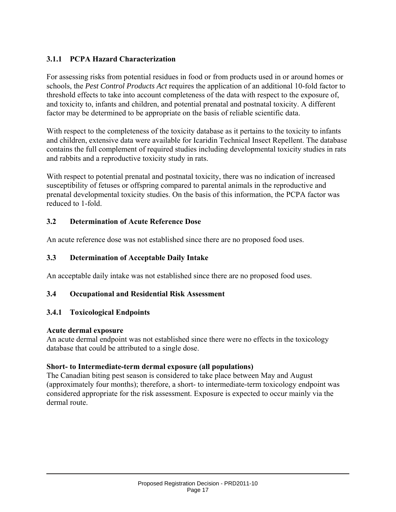## **3.1.1 PCPA Hazard Characterization**

For assessing risks from potential residues in food or from products used in or around homes or schools, the *Pest Control Products Act* requires the application of an additional 10-fold factor to threshold effects to take into account completeness of the data with respect to the exposure of, and toxicity to, infants and children, and potential prenatal and postnatal toxicity. A different factor may be determined to be appropriate on the basis of reliable scientific data.

With respect to the completeness of the toxicity database as it pertains to the toxicity to infants and children, extensive data were available for Icaridin Technical Insect Repellent. The database contains the full complement of required studies including developmental toxicity studies in rats and rabbits and a reproductive toxicity study in rats.

With respect to potential prenatal and postnatal toxicity, there was no indication of increased susceptibility of fetuses or offspring compared to parental animals in the reproductive and prenatal developmental toxicity studies. On the basis of this information, the PCPA factor was reduced to 1-fold.

#### **3.2 Determination of Acute Reference Dose**

An acute reference dose was not established since there are no proposed food uses.

#### **3.3 Determination of Acceptable Daily Intake**

An acceptable daily intake was not established since there are no proposed food uses.

#### **3.4 Occupational and Residential Risk Assessment**

#### **3.4.1 Toxicological Endpoints**

#### **Acute dermal exposure**

An acute dermal endpoint was not established since there were no effects in the toxicology database that could be attributed to a single dose.

#### **Short- to Intermediate-term dermal exposure (all populations)**

The Canadian biting pest season is considered to take place between May and August (approximately four months); therefore, a short- to intermediate-term toxicology endpoint was considered appropriate for the risk assessment. Exposure is expected to occur mainly via the dermal route.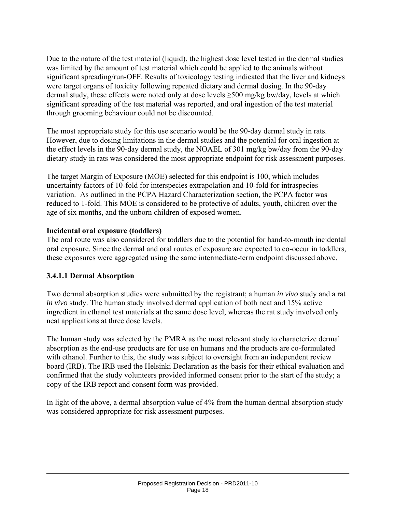Due to the nature of the test material (liquid), the highest dose level tested in the dermal studies was limited by the amount of test material which could be applied to the animals without significant spreading/run-OFF. Results of toxicology testing indicated that the liver and kidneys were target organs of toxicity following repeated dietary and dermal dosing. In the 90-day dermal study, these effects were noted only at dose levels  $\geq$ 500 mg/kg bw/day, levels at which significant spreading of the test material was reported, and oral ingestion of the test material through grooming behaviour could not be discounted.

The most appropriate study for this use scenario would be the 90-day dermal study in rats. However, due to dosing limitations in the dermal studies and the potential for oral ingestion at the effect levels in the 90-day dermal study, the NOAEL of 301 mg/kg bw/day from the 90-day dietary study in rats was considered the most appropriate endpoint for risk assessment purposes.

The target Margin of Exposure (MOE) selected for this endpoint is 100, which includes uncertainty factors of 10-fold for interspecies extrapolation and 10-fold for intraspecies variation. As outlined in the PCPA Hazard Characterization section, the PCPA factor was reduced to 1-fold. This MOE is considered to be protective of adults, youth, children over the age of six months, and the unborn children of exposed women.

#### **Incidental oral exposure (toddlers)**

The oral route was also considered for toddlers due to the potential for hand-to-mouth incidental oral exposure. Since the dermal and oral routes of exposure are expected to co-occur in toddlers, these exposures were aggregated using the same intermediate-term endpoint discussed above.

#### **3.4.1.1 Dermal Absorption**

Two dermal absorption studies were submitted by the registrant; a human *in vivo* study and a rat *in vivo* study. The human study involved dermal application of both neat and 15% active ingredient in ethanol test materials at the same dose level, whereas the rat study involved only neat applications at three dose levels.

The human study was selected by the PMRA as the most relevant study to characterize dermal absorption as the end-use products are for use on humans and the products are co-formulated with ethanol. Further to this, the study was subject to oversight from an independent review board (IRB). The IRB used the Helsinki Declaration as the basis for their ethical evaluation and confirmed that the study volunteers provided informed consent prior to the start of the study; a copy of the IRB report and consent form was provided.

In light of the above, a dermal absorption value of 4% from the human dermal absorption study was considered appropriate for risk assessment purposes.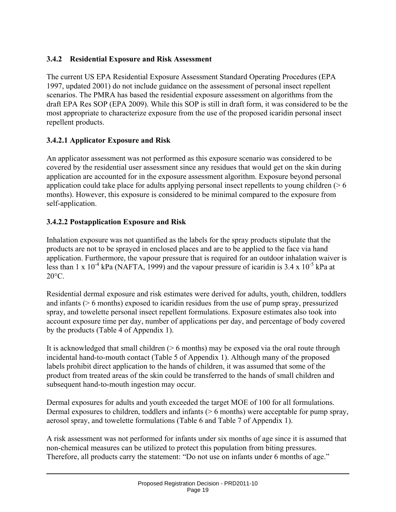## **3.4.2 Residential Exposure and Risk Assessment**

The current US EPA Residential Exposure Assessment Standard Operating Procedures (EPA 1997, updated 2001) do not include guidance on the assessment of personal insect repellent scenarios. The PMRA has based the residential exposure assessment on algorithms from the draft EPA Res SOP (EPA 2009). While this SOP is still in draft form, it was considered to be the most appropriate to characterize exposure from the use of the proposed icaridin personal insect repellent products.

## **3.4.2.1 Applicator Exposure and Risk**

An applicator assessment was not performed as this exposure scenario was considered to be covered by the residential user assessment since any residues that would get on the skin during application are accounted for in the exposure assessment algorithm. Exposure beyond personal application could take place for adults applying personal insect repellents to young children ( $\geq 6$ ) months). However, this exposure is considered to be minimal compared to the exposure from self-application.

## **3.4.2.2 Postapplication Exposure and Risk**

Inhalation exposure was not quantified as the labels for the spray products stipulate that the products are not to be sprayed in enclosed places and are to be applied to the face via hand application. Furthermore, the vapour pressure that is required for an outdoor inhalation waiver is less than 1 x  $10^{-4}$  kPa (NAFTA, 1999) and the vapour pressure of icaridin is 3.4 x  $10^{-5}$  kPa at  $20^{\circ}$ C.

Residential dermal exposure and risk estimates were derived for adults, youth, children, toddlers and infants (> 6 months) exposed to icaridin residues from the use of pump spray, pressurized spray, and towelette personal insect repellent formulations. Exposure estimates also took into account exposure time per day, number of applications per day, and percentage of body covered by the products (Table 4 of Appendix 1).

It is acknowledged that small children (> 6 months) may be exposed via the oral route through incidental hand-to-mouth contact (Table 5 of Appendix 1). Although many of the proposed labels prohibit direct application to the hands of children, it was assumed that some of the product from treated areas of the skin could be transferred to the hands of small children and subsequent hand-to-mouth ingestion may occur.

Dermal exposures for adults and youth exceeded the target MOE of 100 for all formulations. Dermal exposures to children, toddlers and infants (> 6 months) were acceptable for pump spray, aerosol spray, and towelette formulations (Table 6 and Table 7 of Appendix 1).

A risk assessment was not performed for infants under six months of age since it is assumed that non-chemical measures can be utilized to protect this population from biting pressures. Therefore, all products carry the statement: "Do not use on infants under 6 months of age."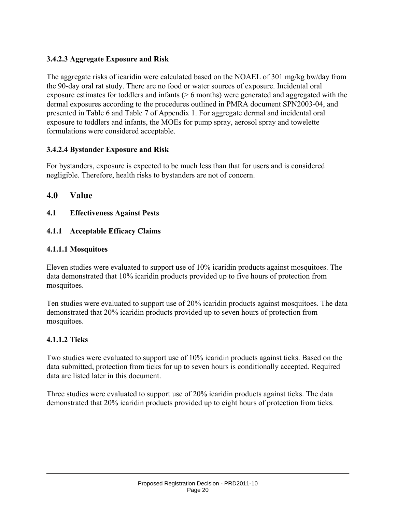### **3.4.2.3 Aggregate Exposure and Risk**

The aggregate risks of icaridin were calculated based on the NOAEL of 301 mg/kg bw/day from the 90-day oral rat study. There are no food or water sources of exposure. Incidental oral exposure estimates for toddlers and infants (> 6 months) were generated and aggregated with the dermal exposures according to the procedures outlined in PMRA document SPN2003-04, and presented in Table 6 and Table 7 of Appendix 1. For aggregate dermal and incidental oral exposure to toddlers and infants, the MOEs for pump spray, aerosol spray and towelette formulations were considered acceptable.

#### **3.4.2.4 Bystander Exposure and Risk**

For bystanders, exposure is expected to be much less than that for users and is considered negligible. Therefore, health risks to bystanders are not of concern.

## **4.0 Value**

**4.1 Effectiveness Against Pests** 

### **4.1.1 Acceptable Efficacy Claims**

### **4.1.1.1 Mosquitoes**

Eleven studies were evaluated to support use of 10% icaridin products against mosquitoes. The data demonstrated that 10% icaridin products provided up to five hours of protection from mosquitoes.

Ten studies were evaluated to support use of 20% icaridin products against mosquitoes. The data demonstrated that 20% icaridin products provided up to seven hours of protection from mosquitoes.

## **4.1.1.2 Ticks**

Two studies were evaluated to support use of 10% icaridin products against ticks. Based on the data submitted, protection from ticks for up to seven hours is conditionally accepted. Required data are listed later in this document.

Three studies were evaluated to support use of 20% icaridin products against ticks. The data demonstrated that 20% icaridin products provided up to eight hours of protection from ticks.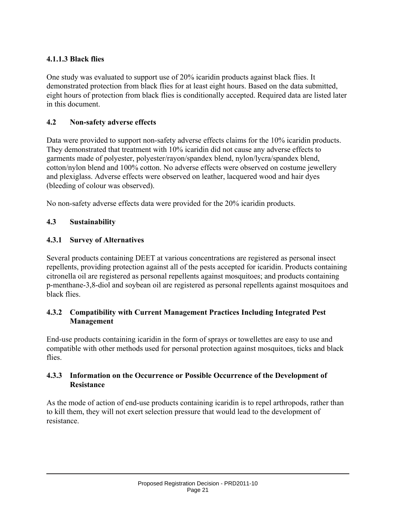### **4.1.1.3 Black flies**

One study was evaluated to support use of 20% icaridin products against black flies. It demonstrated protection from black flies for at least eight hours. Based on the data submitted, eight hours of protection from black flies is conditionally accepted. Required data are listed later in this document.

#### **4.2 Non-safety adverse effects**

Data were provided to support non-safety adverse effects claims for the 10% icaridin products. They demonstrated that treatment with 10% icaridin did not cause any adverse effects to garments made of polyester, polyester/rayon/spandex blend, nylon/lycra/spandex blend, cotton/nylon blend and 100% cotton. No adverse effects were observed on costume jewellery and plexiglass. Adverse effects were observed on leather, lacquered wood and hair dyes (bleeding of colour was observed).

No non-safety adverse effects data were provided for the 20% icaridin products.

#### **4.3 Sustainability**

#### **4.3.1 Survey of Alternatives**

Several products containing DEET at various concentrations are registered as personal insect repellents, providing protection against all of the pests accepted for icaridin. Products containing citronella oil are registered as personal repellents against mosquitoes; and products containing p-menthane-3,8-diol and soybean oil are registered as personal repellents against mosquitoes and black flies.

#### **4.3.2 Compatibility with Current Management Practices Including Integrated Pest Management**

End-use products containing icaridin in the form of sprays or towellettes are easy to use and compatible with other methods used for personal protection against mosquitoes, ticks and black flies.

#### **4.3.3 Information on the Occurrence or Possible Occurrence of the Development of Resistance**

As the mode of action of end-use products containing icaridin is to repel arthropods, rather than to kill them, they will not exert selection pressure that would lead to the development of resistance.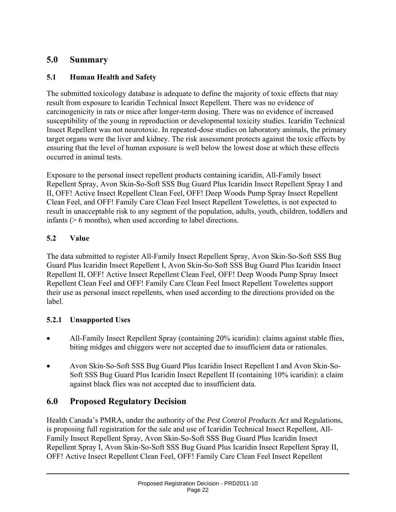## **5.0 Summary**

## **5.1 Human Health and Safety**

The submitted toxicology database is adequate to define the majority of toxic effects that may result from exposure to Icaridin Technical Insect Repellent. There was no evidence of carcinogenicity in rats or mice after longer-term dosing. There was no evidence of increased susceptibility of the young in reproduction or developmental toxicity studies. Icaridin Technical Insect Repellent was not neurotoxic. In repeated-dose studies on laboratory animals, the primary target organs were the liver and kidney. The risk assessment protects against the toxic effects by ensuring that the level of human exposure is well below the lowest dose at which these effects occurred in animal tests.

Exposure to the personal insect repellent products containing icaridin, All-Family Insect Repellent Spray, Avon Skin-So-Soft SSS Bug Guard Plus Icaridin Insect Repellent Spray I and II, OFF! Active Insect Repellent Clean Feel, OFF! Deep Woods Pump Spray Insect Repellent Clean Feel, and OFF! Family Care Clean Feel Insect Repellent Towelettes, is not expected to result in unacceptable risk to any segment of the population, adults, youth, children, toddlers and infants (> 6 months), when used according to label directions.

## **5.2 Value**

The data submitted to register All-Family Insect Repellent Spray, Avon Skin-So-Soft SSS Bug Guard Plus Icaridin Insect Repellent I, Avon Skin-So-Soft SSS Bug Guard Plus Icaridin Insect Repellent II, OFF! Active Insect Repellent Clean Feel, OFF! Deep Woods Pump Spray Insect Repellent Clean Feel and OFF! Family Care Clean Feel Insect Repellent Towelettes support their use as personal insect repellents, when used according to the directions provided on the label.

## **5.2.1 Unsupported Uses**

- All-Family Insect Repellent Spray (containing 20% icaridin): claims against stable flies, biting midges and chiggers were not accepted due to insufficient data or rationales.
- Avon Skin-So-Soft SSS Bug Guard Plus Icaridin Insect Repellent I and Avon Skin-So-Soft SSS Bug Guard Plus Icaridin Insect Repellent II (containing 10% icaridin): a claim against black flies was not accepted due to insufficient data.

## **6.0 Proposed Regulatory Decision**

Health Canada's PMRA, under the authority of the *Pest Control Products Act* and Regulations, is proposing full registration for the sale and use of Icaridin Technical Insect Repellent, All-Family Insect Repellent Spray, Avon Skin-So-Soft SSS Bug Guard Plus Icaridin Insect Repellent Spray I, Avon Skin-So-Soft SSS Bug Guard Plus Icaridin Insect Repellent Spray II, OFF! Active Insect Repellent Clean Feel, OFF! Family Care Clean Feel Insect Repellent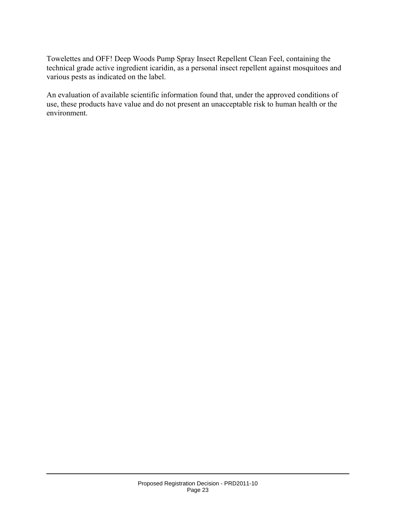Towelettes and OFF! Deep Woods Pump Spray Insect Repellent Clean Feel, containing the technical grade active ingredient icaridin, as a personal insect repellent against mosquitoes and various pests as indicated on the label.

An evaluation of available scientific information found that, under the approved conditions of use, these products have value and do not present an unacceptable risk to human health or the environment.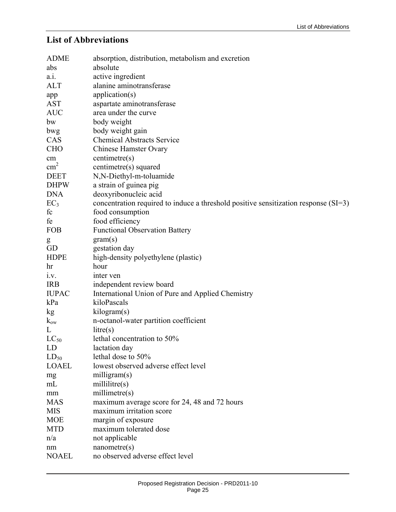## **List of Abbreviations**

| <b>ADME</b>     | absorption, distribution, metabolism and excretion                                    |
|-----------------|---------------------------------------------------------------------------------------|
| abs             | absolute                                                                              |
| a.i.            | active ingredient                                                                     |
| <b>ALT</b>      | alanine aminotransferase                                                              |
| app             | application(s)                                                                        |
| <b>AST</b>      | aspartate aminotransferase                                                            |
| <b>AUC</b>      | area under the curve                                                                  |
| bw              | body weight                                                                           |
| bwg             | body weight gain                                                                      |
| CAS             | <b>Chemical Abstracts Service</b>                                                     |
| <b>CHO</b>      | <b>Chinese Hamster Ovary</b>                                                          |
| cm              | centimetre(s)                                                                         |
| $\text{cm}^2$   | centimetre(s) squared                                                                 |
| <b>DEET</b>     | N,N-Diethyl-m-toluamide                                                               |
| <b>DHPW</b>     | a strain of guinea pig                                                                |
| <b>DNA</b>      | deoxyribonucleic acid                                                                 |
| EC <sub>3</sub> | concentration required to induce a threshold positive sensitization response $(SI=3)$ |
| fc              | food consumption                                                                      |
| fe              | food efficiency                                                                       |
| <b>FOB</b>      | <b>Functional Observation Battery</b>                                                 |
| ${\sf g}$       | gram(s)                                                                               |
| GD              | gestation day                                                                         |
| <b>HDPE</b>     | high-density polyethylene (plastic)                                                   |
| hr              | hour                                                                                  |
| i.v.            | inter ven                                                                             |
| <b>IRB</b>      | independent review board                                                              |
| <b>IUPAC</b>    | International Union of Pure and Applied Chemistry                                     |
| kPa             | kiloPascals                                                                           |
| kg              | kilogram(s)                                                                           |
| $k_{ow}$        | n-octanol-water partition coefficient                                                 |
| L               | litre(s)                                                                              |
| $LC_{50}$       | lethal concentration to 50%                                                           |
| LD              | lactation day                                                                         |
| $LD_{50}$       | lethal dose to 50%                                                                    |
| <b>LOAEL</b>    | lowest observed adverse effect level                                                  |
| mg              | milligram(s)                                                                          |
| mL              | millitre(s)                                                                           |
| mm              | millimetre(s)                                                                         |
| <b>MAS</b>      | maximum average score for 24, 48 and 72 hours                                         |
| <b>MIS</b>      | maximum irritation score                                                              |
| <b>MOE</b>      | margin of exposure                                                                    |
| <b>MTD</b>      | maximum tolerated dose                                                                |
| n/a             | not applicable                                                                        |
| nm              | nanometer(s)                                                                          |
| <b>NOAEL</b>    | no observed adverse effect level                                                      |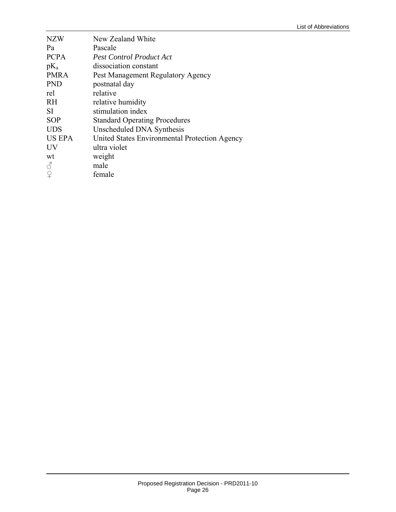| <b>NZW</b>    | New Zealand White                             |
|---------------|-----------------------------------------------|
| Pa            | Pascale                                       |
| <b>PCPA</b>   | <b>Pest Control Product Act</b>               |
| $pK_a$        | dissociation constant                         |
| <b>PMRA</b>   | Pest Management Regulatory Agency             |
| <b>PND</b>    | postnatal day                                 |
| rel           | relative                                      |
| <b>RH</b>     | relative humidity                             |
| SI.           | stimulation index                             |
| <b>SOP</b>    | <b>Standard Operating Procedures</b>          |
| <b>UDS</b>    | Unscheduled DNA Synthesis                     |
| <b>US EPA</b> | United States Environmental Protection Agency |
| <b>UV</b>     | ultra violet                                  |
| wt            | weight                                        |
| 8             | male                                          |
| $\Omega$      | female                                        |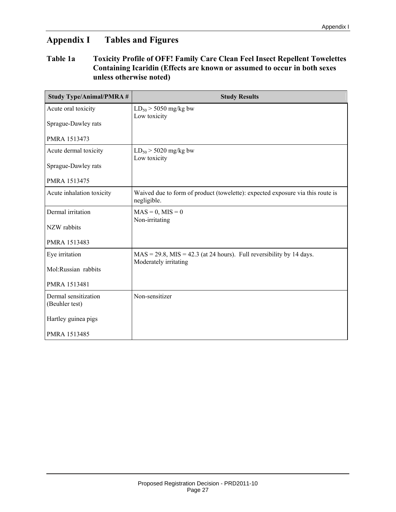## **Appendix I Tables and Figures**

#### **Table 1a Toxicity Profile of OFF! Family Care Clean Feel Insect Repellent Towelettes Containing Icaridin (Effects are known or assumed to occur in both sexes unless otherwise noted)**

| <b>Study Type/Animal/PMRA #</b>        | <b>Study Results</b>                                                                                |
|----------------------------------------|-----------------------------------------------------------------------------------------------------|
| Acute oral toxicity                    | $LD_{50}$ > 5050 mg/kg bw<br>Low toxicity                                                           |
| Sprague-Dawley rats                    |                                                                                                     |
| PMRA 1513473                           |                                                                                                     |
| Acute dermal toxicity                  | $LD_{50}$ > 5020 mg/kg bw<br>Low toxicity                                                           |
| Sprague-Dawley rats                    |                                                                                                     |
| PMRA 1513475                           |                                                                                                     |
| Acute inhalation toxicity              | Waived due to form of product (towelette): expected exposure via this route is<br>negligible.       |
| Dermal irritation                      | $MAS = 0, MIS = 0$<br>Non-irritating                                                                |
| NZW rabbits                            |                                                                                                     |
| PMRA 1513483                           |                                                                                                     |
| Eye irritation                         | $MAS = 29.8$ , $ MIS = 42.3$ (at 24 hours). Full reversibility by 14 days.<br>Moderately irritating |
| Mol:Russian rabbits                    |                                                                                                     |
| PMRA 1513481                           |                                                                                                     |
| Dermal sensitization<br>(Beuhler test) | Non-sensitizer                                                                                      |
| Hartley guinea pigs                    |                                                                                                     |
| PMRA 1513485                           |                                                                                                     |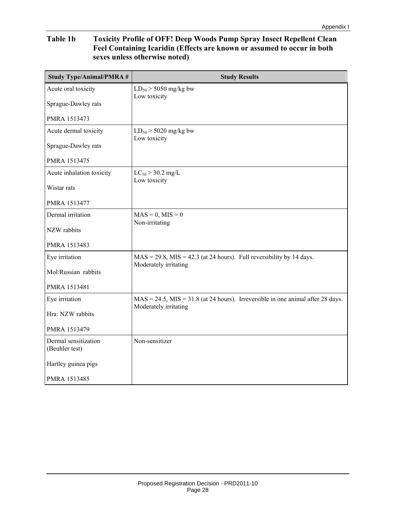#### **Table 1b Toxicity Profile of OFF! Deep Woods Pump Spray Insect Repellent Clean Feel Containing Icaridin (Effects are known or assumed to occur in both sexes unless otherwise noted)**

| <b>Study Type/Animal/PMRA#</b>         | <b>Study Results</b>                                                                                          |
|----------------------------------------|---------------------------------------------------------------------------------------------------------------|
| Acute oral toxicity                    | $LD_{50}$ > 5050 mg/kg bw<br>Low toxicity                                                                     |
| Sprague-Dawley rats                    |                                                                                                               |
| PMRA 1513473                           |                                                                                                               |
| Acute dermal toxicity                  | $LD_{50}$ > 5020 mg/kg bw<br>Low toxicity                                                                     |
| Sprague-Dawley rats                    |                                                                                                               |
| PMRA 1513475                           |                                                                                                               |
| Acute inhalation toxicity              | $LC_{50}$ > 30.2 mg/L<br>Low toxicity                                                                         |
| Wistar rats                            |                                                                                                               |
| PMRA 1513477                           |                                                                                                               |
| Dermal irritation                      | $MAS = 0$ , $MIS = 0$<br>Non-irritating                                                                       |
| NZW rabbits                            |                                                                                                               |
| PMRA 1513483                           |                                                                                                               |
| Eye irritation                         | $MAS = 29.8$ , $ MIS = 42.3$ (at 24 hours). Full reversibility by 14 days.<br>Moderately irritating           |
| Mol:Russian rabbits                    |                                                                                                               |
| PMRA 1513481                           |                                                                                                               |
| Eye irritation                         | $MAS = 24.5$ , $MIS = 31.8$ (at 24 hours). Irreversible in one animal after 28 days.<br>Moderately irritating |
| Hra: NZW rabbits                       |                                                                                                               |
| PMRA 1513479                           |                                                                                                               |
| Dermal sensitization<br>(Beuhler test) | Non-sensitizer                                                                                                |
| Hartley guinea pigs                    |                                                                                                               |
| PMRA 1513485                           |                                                                                                               |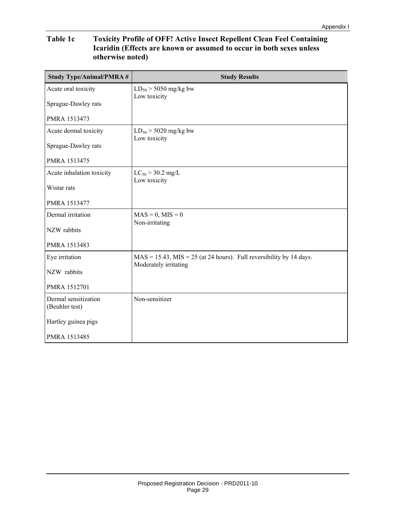#### **Table 1c Toxicity Profile of OFF! Active Insect Repellent Clean Feel Containing Icaridin (Effects are known or assumed to occur in both sexes unless otherwise noted)**

| <b>Study Type/Animal/PMRA#</b>         | <b>Study Results</b>                                                                           |
|----------------------------------------|------------------------------------------------------------------------------------------------|
| Acute oral toxicity                    | $LD_{50}$ > 5050 mg/kg bw<br>Low toxicity                                                      |
| Sprague-Dawley rats                    |                                                                                                |
| PMRA 1513473                           |                                                                                                |
| Acute dermal toxicity                  | $LD_{50}$ > 5020 mg/kg bw<br>Low toxicity                                                      |
| Sprague-Dawley rats                    |                                                                                                |
| PMRA 1513475                           |                                                                                                |
| Acute inhalation toxicity              | $LC_{50}$ > 30.2 mg/L<br>Low toxicity                                                          |
| Wistar rats                            |                                                                                                |
| PMRA 1513477                           |                                                                                                |
| Dermal irritation                      | $MAS = 0, MIS = 0$<br>Non-irritating                                                           |
| NZW rabbits                            |                                                                                                |
| PMRA 1513483                           |                                                                                                |
| Eye irritation                         | $MAS = 15.43, MIS = 25 (at 24 hours).$ Full reversibility by 14 days.<br>Moderately irritating |
| NZW rabbits                            |                                                                                                |
| PMRA 1512701                           |                                                                                                |
| Dermal sensitization<br>(Beuhler test) | Non-sensitizer                                                                                 |
| Hartley guinea pigs                    |                                                                                                |
| PMRA 1513485                           |                                                                                                |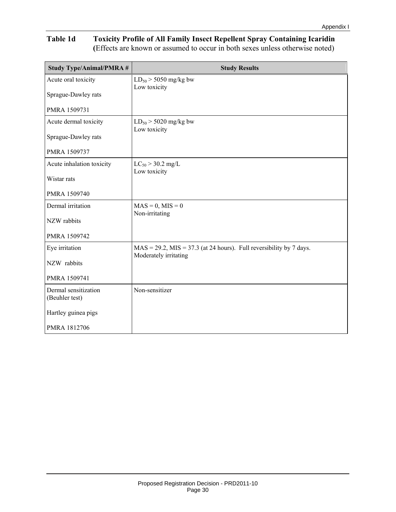#### **Table 1d Toxicity Profile of All Family Insect Repellent Spray Containing Icaridin (**Effects are known or assumed to occur in both sexes unless otherwise noted)

| <b>Study Type/Animal/PMRA #</b>        | <b>Study Results</b>                                                                               |
|----------------------------------------|----------------------------------------------------------------------------------------------------|
| Acute oral toxicity                    | $LD_{50}$ > 5050 mg/kg bw<br>Low toxicity                                                          |
| Sprague-Dawley rats                    |                                                                                                    |
| PMRA 1509731                           |                                                                                                    |
| Acute dermal toxicity                  | $LD_{50}$ > 5020 mg/kg bw<br>Low toxicity                                                          |
| Sprague-Dawley rats                    |                                                                                                    |
| PMRA 1509737                           |                                                                                                    |
| Acute inhalation toxicity              | $LC_{50}$ > 30.2 mg/L<br>Low toxicity                                                              |
| Wistar rats                            |                                                                                                    |
| PMRA 1509740                           |                                                                                                    |
| Dermal irritation                      | $MAS = 0, MIS = 0$<br>Non-irritating                                                               |
| NZW rabbits                            |                                                                                                    |
| PMRA 1509742                           |                                                                                                    |
| Eye irritation                         | $MAS = 29.2$ , $ MIS = 37.3$ (at 24 hours). Full reversibility by 7 days.<br>Moderately irritating |
| NZW rabbits                            |                                                                                                    |
| PMRA 1509741                           |                                                                                                    |
| Dermal sensitization<br>(Beuhler test) | Non-sensitizer                                                                                     |
| Hartley guinea pigs                    |                                                                                                    |
| PMRA 1812706                           |                                                                                                    |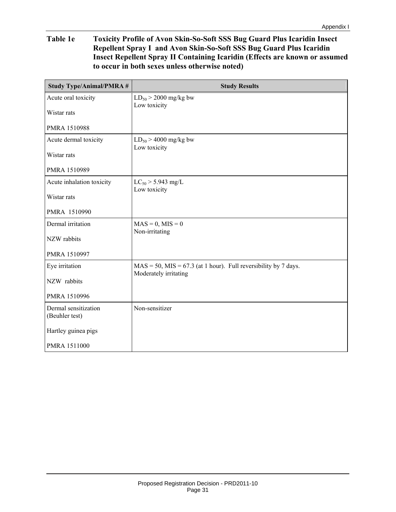#### **Table 1e Toxicity Profile of Avon Skin-So-Soft SSS Bug Guard Plus Icaridin Insect Repellent Spray I and Avon Skin-So-Soft SSS Bug Guard Plus Icaridin Insect Repellent Spray II Containing Icaridin (Effects are known or assumed to occur in both sexes unless otherwise noted)**

| <b>Study Type/Animal/PMRA #</b>        | <b>Study Results</b>                                                                           |
|----------------------------------------|------------------------------------------------------------------------------------------------|
| Acute oral toxicity                    | $LD_{50}$ > 2000 mg/kg bw<br>Low toxicity                                                      |
| Wistar rats                            |                                                                                                |
| PMRA 1510988                           |                                                                                                |
| Acute dermal toxicity                  | $LD_{50}$ > 4000 mg/kg bw<br>Low toxicity                                                      |
| Wistar rats                            |                                                                                                |
| PMRA 1510989                           |                                                                                                |
| Acute inhalation toxicity              | $LC_{50}$ > 5.943 mg/L<br>Low toxicity                                                         |
| Wistar rats                            |                                                                                                |
| PMRA 1510990                           |                                                                                                |
| Dermal irritation                      | $MAS = 0, MIS = 0$<br>Non-irritating                                                           |
| NZW rabbits                            |                                                                                                |
| PMRA 1510997                           |                                                                                                |
| Eye irritation                         | $MAS = 50$ , $ MIS = 67.3$ (at 1 hour). Full reversibility by 7 days.<br>Moderately irritating |
| NZW rabbits                            |                                                                                                |
| PMRA 1510996                           |                                                                                                |
| Dermal sensitization<br>(Beuhler test) | Non-sensitizer                                                                                 |
| Hartley guinea pigs                    |                                                                                                |
| <b>PMRA 1511000</b>                    |                                                                                                |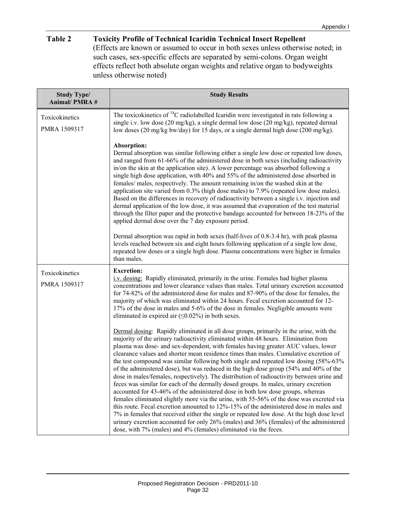#### **Table 2 Toxicity Profile of Technical Icaridin Technical Insect Repellent**

(Effects are known or assumed to occur in both sexes unless otherwise noted; in such cases, sex-specific effects are separated by semi-colons. Organ weight effects reflect both absolute organ weights and relative organ to bodyweights unless otherwise noted)

| <b>Study Type/</b>             | <b>Study Results</b>                                                                                                                                                                                                                                                                                                                                                                                                                                                                                                                                                                                                                                                                                                                                                                                                                                                                                                                                                                                                                                                                                                                                                                                                                                                      |
|--------------------------------|---------------------------------------------------------------------------------------------------------------------------------------------------------------------------------------------------------------------------------------------------------------------------------------------------------------------------------------------------------------------------------------------------------------------------------------------------------------------------------------------------------------------------------------------------------------------------------------------------------------------------------------------------------------------------------------------------------------------------------------------------------------------------------------------------------------------------------------------------------------------------------------------------------------------------------------------------------------------------------------------------------------------------------------------------------------------------------------------------------------------------------------------------------------------------------------------------------------------------------------------------------------------------|
| <b>Animal/PMRA#</b>            |                                                                                                                                                                                                                                                                                                                                                                                                                                                                                                                                                                                                                                                                                                                                                                                                                                                                                                                                                                                                                                                                                                                                                                                                                                                                           |
| Toxicokinetics<br>PMRA 1509317 | The toxicokinetics of ${}^{14}C$ radiolabelled Icaridin were investigated in rats following a<br>single i.v. low dose (20 mg/kg), a single dermal low dose (20 mg/kg), repeated dermal<br>low doses (20 mg/kg bw/day) for 15 days, or a single dermal high dose (200 mg/kg).                                                                                                                                                                                                                                                                                                                                                                                                                                                                                                                                                                                                                                                                                                                                                                                                                                                                                                                                                                                              |
|                                | Absorption:<br>Dermal absorption was similar following either a single low dose or repeated low doses,<br>and ranged from 61-66% of the administered dose in both sexes (including radioactivity<br>in/on the skin at the application site). A lower percentage was absorbed following a<br>single high dose application, with 40% and 55% of the administered dose absorbed in<br>females/ males, respectively. The amount remaining in/on the washed skin at the<br>application site varied from 0.3% (high dose males) to 7.9% (repeated low dose males).<br>Based on the differences in recovery of radioactivity between a single i.v. injection and<br>dermal application of the low dose, it was assumed that evaporation of the test material<br>through the filter paper and the protective bandage accounted for between 18-23% of the<br>applied dermal dose over the 7 day exposure period.                                                                                                                                                                                                                                                                                                                                                                   |
|                                | Dermal absorption was rapid in both sexes (half-lives of 0.8-3.4 hr), with peak plasma<br>levels reached between six and eight hours following application of a single low dose,<br>repeated low doses or a single high dose. Plasma concentrations were higher in females<br>than males.                                                                                                                                                                                                                                                                                                                                                                                                                                                                                                                                                                                                                                                                                                                                                                                                                                                                                                                                                                                 |
| Toxicokinetics<br>PMRA 1509317 | <b>Excretion:</b><br>i.v. dosing: Rapidly eliminated, primarily in the urine. Females had higher plasma<br>concentrations and lower clearance values than males. Total urinary excretion accounted<br>for 74-82% of the administered dose for males and 87-90% of the dose for females, the<br>majority of which was eliminated within 24 hours. Fecal excretion accounted for 12-<br>17% of the dose in males and 5-6% of the dose in females. Negligible amounts were<br>eliminated in expired air $(\leq 0.02\%)$ in both sexes.                                                                                                                                                                                                                                                                                                                                                                                                                                                                                                                                                                                                                                                                                                                                       |
|                                | Dermal dosing: Rapidly eliminated in all dose groups, primarily in the urine, with the<br>majority of the urinary radioactivity eliminated within 48 hours. Elimination from<br>plasma was dose- and sex-dependent, with females having greater AUC values, lower<br>clearance values and shorter mean residence times than males. Cumulative excretion of<br>the test compound was similar following both single and repeated low dosing (58%-63%<br>of the administered dose), but was reduced in the high dose group (54% and 40% of the<br>dose in males/females, respectively). The distribution of radioactivity between urine and<br>feces was similar for each of the dermally dosed groups. In males, urinary excretion<br>accounted for 43-46% of the administered dose in both low dose groups, whereas<br>females eliminated slightly more via the urine, with 55-56% of the dose was excreted via<br>this route. Fecal excretion amounted to $12\% - 15\%$ of the administered dose in males and<br>7% in females that received either the single or repeated low dose. At the high dose level<br>urinary excretion accounted for only 26% (males) and 36% (females) of the administered<br>dose, with 7% (males) and 4% (females) eliminated via the feces. |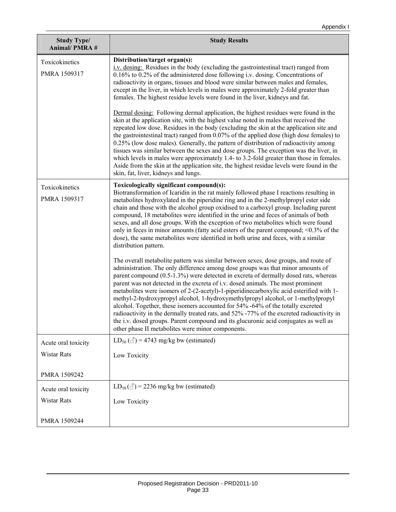| <b>Study Type/</b><br><b>Animal/PMRA#</b> | <b>Study Results</b>                                                                                                                                                                                                                                                                                                                                                                                                                                                                                                                                                                                                                                                                                                                                                                                                                                                                                                                                                                                                                                                                                                                                                                                                                                                                                                                                                                                                                                                                                                                                                               |
|-------------------------------------------|------------------------------------------------------------------------------------------------------------------------------------------------------------------------------------------------------------------------------------------------------------------------------------------------------------------------------------------------------------------------------------------------------------------------------------------------------------------------------------------------------------------------------------------------------------------------------------------------------------------------------------------------------------------------------------------------------------------------------------------------------------------------------------------------------------------------------------------------------------------------------------------------------------------------------------------------------------------------------------------------------------------------------------------------------------------------------------------------------------------------------------------------------------------------------------------------------------------------------------------------------------------------------------------------------------------------------------------------------------------------------------------------------------------------------------------------------------------------------------------------------------------------------------------------------------------------------------|
| Toxicokinetics<br>PMRA 1509317            | Distribution/target organ(s):<br>i.v. dosing: Residues in the body (excluding the gastrointestinal tract) ranged from<br>0.16% to 0.2% of the administered dose following i.v. dosing. Concentrations of<br>radioactivity in organs, tissues and blood were similar between males and females,<br>except in the liver, in which levels in males were approximately 2-fold greater than<br>females. The highest residue levels were found in the liver, kidneys and fat.<br>Dermal dosing: Following dermal application, the highest residues were found in the<br>skin at the application site, with the highest value noted in males that received the<br>repeated low dose. Residues in the body (excluding the skin at the application site and<br>the gastrointestinal tract) ranged from $0.07\%$ of the applied dose (high dose females) to<br>0.25% (low dose males). Generally, the pattern of distribution of radioactivity among<br>tissues was similar between the sexes and dose groups. The exception was the liver, in<br>which levels in males were approximately 1.4- to 3.2-fold greater than those in females.<br>Aside from the skin at the application site, the highest residue levels were found in the<br>skin, fat, liver, kidneys and lungs.                                                                                                                                                                                                                                                                                                              |
| Toxicokinetics<br>PMRA 1509317            | Toxicologically significant compound(s):<br>Biotransformation of Icaridin in the rat mainly followed phase I reactions resulting in<br>metabolites hydroxylated in the piperidine ring and in the 2-methylpropyl ester side<br>chain and those with the alcohol group oxidised to a carboxyl group. Including parent<br>compound, 18 metabolites were identified in the urine and feces of animals of both<br>sexes, and all dose groups. With the exception of two metabolites which were found<br>only in feces in minor amounts (fatty acid esters of the parent compound; $\leq 0.3\%$ of the<br>dose), the same metabolites were identified in both urine and feces, with a similar<br>distribution pattern.<br>The overall metabolite pattern was similar between sexes, dose groups, and route of<br>administration. The only difference among dose groups was that minor amounts of<br>parent compound (0.5-1.3%) were detected in excreta of dermally dosed rats, whereas<br>parent was not detected in the excreta of i.v. dosed animals. The most prominent<br>metabolites were isomers of 2-(2-acetyl)-1-piperidinecarboxylic acid esterified with 1-<br>methyl-2-hydroxypropyl alcohol, 1-hydroxymethylpropyl alcohol, or 1-methylpropyl<br>alcohol. Together, these isomers accounted for 54% -64% of the totally excreted<br>radioactivity in the dermally treated rats, and 52% -77% of the excreted radioactivity in<br>the i.v. dosed groups. Parent compound and its glucuronic acid conjugates as well as<br>other phase II metabolites were minor components. |
| Acute oral toxicity                       | $LD_{50}(\text{C}) = 4743$ mg/kg bw (estimated)                                                                                                                                                                                                                                                                                                                                                                                                                                                                                                                                                                                                                                                                                                                                                                                                                                                                                                                                                                                                                                                                                                                                                                                                                                                                                                                                                                                                                                                                                                                                    |
| Wistar Rats                               | Low Toxicity                                                                                                                                                                                                                                                                                                                                                                                                                                                                                                                                                                                                                                                                                                                                                                                                                                                                                                                                                                                                                                                                                                                                                                                                                                                                                                                                                                                                                                                                                                                                                                       |
| PMRA 1509242                              |                                                                                                                                                                                                                                                                                                                                                                                                                                                                                                                                                                                                                                                                                                                                                                                                                                                                                                                                                                                                                                                                                                                                                                                                                                                                                                                                                                                                                                                                                                                                                                                    |
| Acute oral toxicity                       | $LD_{50}(\text{C}) = 2236$ mg/kg bw (estimated)                                                                                                                                                                                                                                                                                                                                                                                                                                                                                                                                                                                                                                                                                                                                                                                                                                                                                                                                                                                                                                                                                                                                                                                                                                                                                                                                                                                                                                                                                                                                    |
| Wistar Rats                               | Low Toxicity                                                                                                                                                                                                                                                                                                                                                                                                                                                                                                                                                                                                                                                                                                                                                                                                                                                                                                                                                                                                                                                                                                                                                                                                                                                                                                                                                                                                                                                                                                                                                                       |
| PMRA 1509244                              |                                                                                                                                                                                                                                                                                                                                                                                                                                                                                                                                                                                                                                                                                                                                                                                                                                                                                                                                                                                                                                                                                                                                                                                                                                                                                                                                                                                                                                                                                                                                                                                    |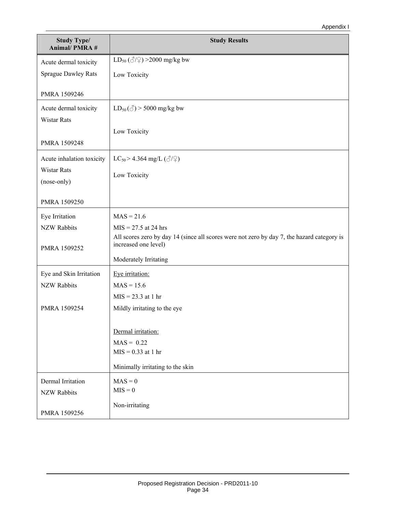| <b>Study Type/</b><br><b>Animal/PMRA#</b> | <b>Study Results</b>                                                                                               |
|-------------------------------------------|--------------------------------------------------------------------------------------------------------------------|
| Acute dermal toxicity                     | $LD_{50} (\text{C}/\text{C}) > 2000 \text{ mg/kg}$ bw                                                              |
| <b>Sprague Dawley Rats</b>                | Low Toxicity                                                                                                       |
| PMRA 1509246                              |                                                                                                                    |
| Acute dermal toxicity                     | $LD_{50}(\text{C})$ > 5000 mg/kg bw                                                                                |
| <b>Wistar Rats</b>                        |                                                                                                                    |
|                                           | Low Toxicity                                                                                                       |
| PMRA 1509248                              |                                                                                                                    |
| Acute inhalation toxicity                 | LC <sub>50</sub> > 4.364 mg/L ( $\textcircled{3}/\textcircled{2}$ )                                                |
| <b>Wistar Rats</b><br>(nose-only)         | Low Toxicity                                                                                                       |
|                                           |                                                                                                                    |
| PMRA 1509250                              |                                                                                                                    |
| Eye Irritation                            | $MAS = 21.6$                                                                                                       |
| <b>NZW Rabbits</b>                        | $MIS = 27.5$ at 24 hrs                                                                                             |
| PMRA 1509252                              | All scores zero by day 14 (since all scores were not zero by day 7, the hazard category is<br>increased one level) |
|                                           | Moderately Irritating                                                                                              |
| Eye and Skin Irritation                   | Eye irritation:                                                                                                    |
| <b>NZW Rabbits</b>                        | $MAS = 15.6$                                                                                                       |
|                                           | $MIS = 23.3$ at 1 hr                                                                                               |
| PMRA 1509254                              | Mildly irritating to the eye                                                                                       |
|                                           | Dermal irritation:                                                                                                 |
|                                           | $MAS = 0.22$                                                                                                       |
|                                           | $MIS = 0.33$ at 1 hr                                                                                               |
|                                           | Minimally irritating to the skin                                                                                   |
| Dermal Irritation                         | $MAS = 0$                                                                                                          |
| <b>NZW Rabbits</b>                        | $MIS = 0$                                                                                                          |
| PMRA 1509256                              | Non-irritating                                                                                                     |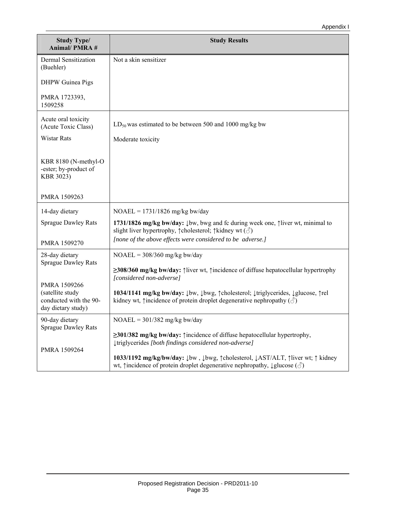| <b>Study Type/</b><br><b>Animal/PMRA#</b>                                        | <b>Study Results</b>                                                                                                                                                                                                                                        |
|----------------------------------------------------------------------------------|-------------------------------------------------------------------------------------------------------------------------------------------------------------------------------------------------------------------------------------------------------------|
| Dermal Sensitization<br>(Buehler)                                                | Not a skin sensitizer                                                                                                                                                                                                                                       |
| <b>DHPW</b> Guinea Pigs                                                          |                                                                                                                                                                                                                                                             |
| PMRA 1723393,<br>1509258                                                         |                                                                                                                                                                                                                                                             |
| Acute oral toxicity<br>(Acute Toxic Class)                                       | $LD_{50}$ was estimated to be between 500 and 1000 mg/kg bw                                                                                                                                                                                                 |
| <b>Wistar Rats</b>                                                               | Moderate toxicity                                                                                                                                                                                                                                           |
| KBR 8180 (N-methyl-O<br>-ester; by-product of<br>KBR 3023)                       |                                                                                                                                                                                                                                                             |
| PMRA 1509263                                                                     |                                                                                                                                                                                                                                                             |
| 14-day dietary                                                                   | $NOAEL = 1731/1826$ mg/kg bw/day                                                                                                                                                                                                                            |
| <b>Sprague Dawley Rats</b>                                                       | 1731/1826 mg/kg bw/day: $\downarrow$ bw, bwg and fc during week one, $\uparrow$ liver wt, minimal to<br>slight liver hypertrophy, $\uparrow$ cholesterol; $\uparrow$ kidney wt $(\text{S})$                                                                 |
| PMRA 1509270                                                                     | [none of the above effects were considered to be adverse.]                                                                                                                                                                                                  |
| 28-day dietary<br><b>Sprague Dawley Rats</b>                                     | $NOAEL = 308/360$ mg/kg bw/day                                                                                                                                                                                                                              |
|                                                                                  | $\geq$ 308/360 mg/kg bw/day: $\uparrow$ liver wt, $\uparrow$ incidence of diffuse hepatocellular hypertrophy<br>[considered non-adverse]                                                                                                                    |
| PMRA 1509266<br>(satellite study<br>conducted with the 90-<br>day dietary study) | 1034/1141 mg/kg bw/day: $\downarrow$ bw, $\downarrow$ bwg, $\uparrow$ cholesterol; $\downarrow$ triglycerides, $\downarrow$ glucose, $\uparrow$ rel<br>kidney wt, $\uparrow$ incidence of protein droplet degenerative nephropathy $(\text{C})$             |
| 90-day dietary<br><b>Sprague Dawley Rats</b>                                     | $NOAEL = 301/382$ mg/kg bw/day                                                                                                                                                                                                                              |
| PMRA 1509264                                                                     | $\geq$ 301/382 mg/kg bw/day: $\uparrow$ incidence of diffuse hepatocellular hypertrophy,<br>[triglycerides [both findings considered non-adverse]                                                                                                           |
|                                                                                  | 1033/1192 mg/kg/bw/day: $\downarrow$ bw, $\downarrow$ bwg, $\uparrow$ cholesterol, $\downarrow$ AST/ALT, $\uparrow$ liver wt; $\uparrow$ kidney<br>wt, $\uparrow$ incidence of protein droplet degenerative nephropathy, $\downarrow$ glucose $(\text{or})$ |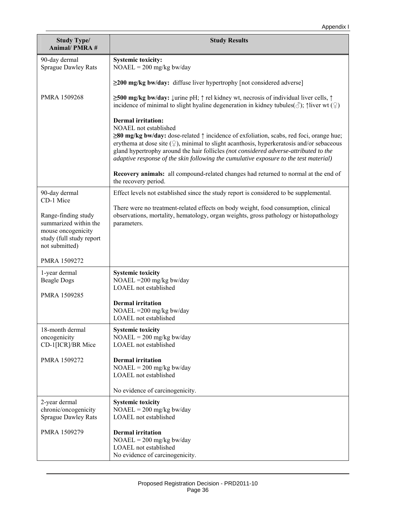| <b>Study Type/</b><br><b>Animal/PMRA#</b>                                                                        | <b>Study Results</b>                                                                                                                                                                                                                                                                                                                                                                                                                                |
|------------------------------------------------------------------------------------------------------------------|-----------------------------------------------------------------------------------------------------------------------------------------------------------------------------------------------------------------------------------------------------------------------------------------------------------------------------------------------------------------------------------------------------------------------------------------------------|
| 90-day dermal<br><b>Sprague Dawley Rats</b>                                                                      | <b>Systemic toxicity:</b><br>$NOAEL = 200$ mg/kg bw/day                                                                                                                                                                                                                                                                                                                                                                                             |
|                                                                                                                  | $\geq$ 200 mg/kg bw/day: diffuse liver hypertrophy [not considered adverse]                                                                                                                                                                                                                                                                                                                                                                         |
| PMRA 1509268                                                                                                     | ≥500 mg/kg bw/day: ↓urine pH; $\uparrow$ rel kidney wt, necrosis of individual liver cells, $\uparrow$<br>incidence of minimal to slight hyaline degeneration in kidney tubules( $\Diamond$ ); $\uparrow$ liver wt ( $\Diamond$ )                                                                                                                                                                                                                   |
|                                                                                                                  | <b>Dermal</b> irritation:<br>NOAEL not established<br>$\geq$ 80 mg/kg bw/day: dose-related $\uparrow$ incidence of exfoliation, scabs, red foci, orange hue;<br>erythema at dose site $(\varphi)$ , minimal to slight acanthosis, hyperkeratosis and/or sebaceous<br>gland hypertrophy around the hair follicles (not considered adverse-attributed to the<br>adaptive response of the skin following the cumulative exposure to the test material) |
|                                                                                                                  | Recovery animals: all compound-related changes had returned to normal at the end of<br>the recovery period.                                                                                                                                                                                                                                                                                                                                         |
| 90-day dermal<br>CD-1 Mice                                                                                       | Effect levels not established since the study report is considered to be supplemental.                                                                                                                                                                                                                                                                                                                                                              |
| Range-finding study<br>summarized within the<br>mouse oncogenicity<br>study (full study report<br>not submitted) | There were no treatment-related effects on body weight, food consumption, clinical<br>observations, mortality, hematology, organ weights, gross pathology or histopathology<br>parameters.                                                                                                                                                                                                                                                          |
| PMRA 1509272                                                                                                     |                                                                                                                                                                                                                                                                                                                                                                                                                                                     |
| 1-year dermal<br><b>Beagle Dogs</b><br>PMRA 1509285                                                              | <b>Systemic toxicity</b><br>NOAEL = $200 \frac{\text{mg}}{\text{kg}}$ bw/day<br>LOAEL not established                                                                                                                                                                                                                                                                                                                                               |
|                                                                                                                  | <b>Dermal</b> irritation<br>NOAEL = 200 mg/kg bw/day<br>LOAEL not established                                                                                                                                                                                                                                                                                                                                                                       |
| 18-month dermal<br>oncogenicity<br>CD-1[ICR]/BR Mice                                                             | <b>Systemic toxicity</b><br>$NOAEL = 200$ mg/kg bw/day<br>LOAEL not established                                                                                                                                                                                                                                                                                                                                                                     |
| PMRA 1509272                                                                                                     | <b>Dermal</b> irritation<br>$NOAEL = 200$ mg/kg bw/day<br>LOAEL not established<br>No evidence of carcinogenicity.                                                                                                                                                                                                                                                                                                                                  |
| 2-year dermal<br>chronic/oncogenicity<br><b>Sprague Dawley Rats</b>                                              | <b>Systemic toxicity</b><br>$NOAEL = 200$ mg/kg bw/day<br>LOAEL not established                                                                                                                                                                                                                                                                                                                                                                     |
| PMRA 1509279                                                                                                     | <b>Dermal</b> irritation<br>$NOAEL = 200$ mg/kg bw/day<br>LOAEL not established<br>No evidence of carcinogenicity.                                                                                                                                                                                                                                                                                                                                  |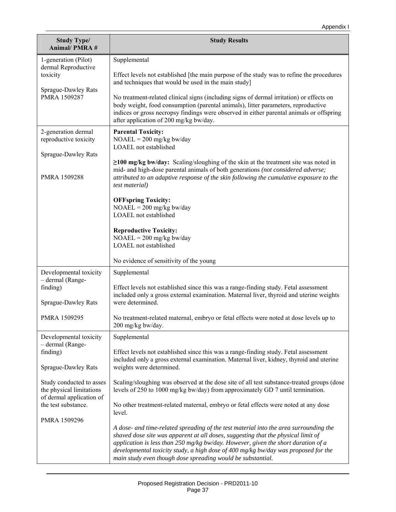| <b>Study Type/</b><br><b>Animal/PMRA#</b>                                        | <b>Study Results</b>                                                                                                                                                                                                                                                                                                        |
|----------------------------------------------------------------------------------|-----------------------------------------------------------------------------------------------------------------------------------------------------------------------------------------------------------------------------------------------------------------------------------------------------------------------------|
| 1-generation (Pilot)                                                             | Supplemental                                                                                                                                                                                                                                                                                                                |
| dermal Reproductive<br>toxicity                                                  | Effect levels not established [the main purpose of the study was to refine the procedures<br>and techniques that would be used in the main study]                                                                                                                                                                           |
| Sprague-Dawley Rats<br>PMRA 1509287                                              | No treatment-related clinical signs (including signs of dermal irritation) or effects on<br>body weight, food consumption (parental animals), litter parameters, reproductive<br>indices or gross necropsy findings were observed in either parental animals or offspring<br>after application of 200 mg/kg bw/day.         |
| 2-generation dermal<br>reproductive toxicity                                     | <b>Parental Toxicity:</b><br>$NOAEL = 200$ mg/kg bw/day<br>LOAEL not established                                                                                                                                                                                                                                            |
| Sprague-Dawley Rats                                                              |                                                                                                                                                                                                                                                                                                                             |
| PMRA 1509288                                                                     | $\geq$ 100 mg/kg bw/day: Scaling/sloughing of the skin at the treatment site was noted in<br>mid- and high-dose parental animals of both generations (not considered adverse;<br>attributed to an adaptive response of the skin following the cumulative exposure to the<br>test material)                                  |
|                                                                                  | <b>OFFspring Toxicity:</b><br>$NOAEL = 200$ mg/kg bw/day<br>LOAEL not established                                                                                                                                                                                                                                           |
|                                                                                  | <b>Reproductive Toxicity:</b><br>$NOAEL = 200$ mg/kg bw/day<br>LOAEL not established                                                                                                                                                                                                                                        |
|                                                                                  | No evidence of sensitivity of the young                                                                                                                                                                                                                                                                                     |
| Developmental toxicity<br>- dermal (Range-                                       | Supplemental                                                                                                                                                                                                                                                                                                                |
| finding)<br>Sprague-Dawley Rats                                                  | Effect levels not established since this was a range-finding study. Fetal assessment<br>included only a gross external examination. Maternal liver, thyroid and uterine weights<br>were determined.                                                                                                                         |
| PMRA 1509295                                                                     | No treatment-related maternal, embryo or fetal effects were noted at dose levels up to<br>200 mg/kg bw/day.                                                                                                                                                                                                                 |
| Developmental toxicity                                                           | Supplemental                                                                                                                                                                                                                                                                                                                |
| - dermal (Range-<br>finding)                                                     | Effect levels not established since this was a range-finding study. Fetal assessment                                                                                                                                                                                                                                        |
| Sprague-Dawley Rats                                                              | included only a gross external examination. Maternal liver, kidney, thyroid and uterine<br>weights were determined.                                                                                                                                                                                                         |
| Study conducted to asses<br>the physical limitations<br>of dermal application of | Scaling/sloughing was observed at the dose site of all test substance-treated groups (dose<br>levels of 250 to 1000 mg/kg bw/day) from approximately GD 7 until termination.                                                                                                                                                |
| the test substance.                                                              | No other treatment-related maternal, embryo or fetal effects were noted at any dose<br>level.                                                                                                                                                                                                                               |
| PMRA 1509296                                                                     | A dose- and time-related spreading of the test material into the area surrounding the                                                                                                                                                                                                                                       |
|                                                                                  | shaved dose site was apparent at all doses, suggesting that the physical limit of<br>application is less than 250 mg/kg bw/day. However, given the short duration of a<br>developmental toxicity study, a high dose of 400 mg/kg bw/day was proposed for the<br>main study even though dose spreading would be substantial. |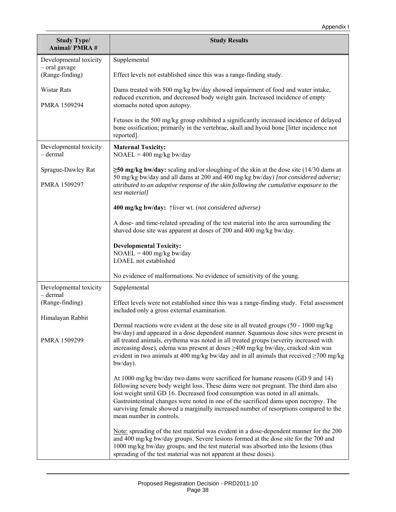| <b>Study Type/</b><br><b>Animal/PMRA#</b> | <b>Study Results</b>                                                                                                                                                                                                                                                                                                                                                                                                                                                     |
|-------------------------------------------|--------------------------------------------------------------------------------------------------------------------------------------------------------------------------------------------------------------------------------------------------------------------------------------------------------------------------------------------------------------------------------------------------------------------------------------------------------------------------|
| Developmental toxicity                    | Supplemental                                                                                                                                                                                                                                                                                                                                                                                                                                                             |
| - oral gavage<br>(Range-finding)          | Effect levels not established since this was a range-finding study.                                                                                                                                                                                                                                                                                                                                                                                                      |
| <b>Wistar Rats</b><br>PMRA 1509294        | Dams treated with 500 mg/kg bw/day showed impairment of food and water intake,<br>reduced excretion, and decreased body weight gain. Increased incidence of empty<br>stomachs noted upon autopsy.                                                                                                                                                                                                                                                                        |
|                                           | Fetuses in the 500 mg/kg group exhibited a significantly increased incidence of delayed<br>bone ossification; primarily in the vertebrae, skull and hyoid bone [litter incidence not<br>reported].                                                                                                                                                                                                                                                                       |
| Developmental toxicity<br>$-$ dermal      | <b>Maternal Toxicity:</b><br>$NOAEL = 400$ mg/kg bw/day                                                                                                                                                                                                                                                                                                                                                                                                                  |
| Sprague-Dawley Rat                        | $\geq$ 50 mg/kg bw/day: scaling and/or sloughing of the skin at the dose site (14/30 dams at<br>50 mg/kg bw/day and all dams at 200 and 400 mg/kg bw/day) [not considered adverse;                                                                                                                                                                                                                                                                                       |
| PMRA 1509297                              | attributed to an adaptive response of the skin following the cumulative exposure to the<br>test material]                                                                                                                                                                                                                                                                                                                                                                |
|                                           | 400 mg/kg bw/day: [liver wt. (not considered adverse)                                                                                                                                                                                                                                                                                                                                                                                                                    |
|                                           | A dose- and time-related spreading of the test material into the area surrounding the<br>shaved dose site was apparent at doses of 200 and 400 mg/kg bw/day.                                                                                                                                                                                                                                                                                                             |
|                                           | <b>Developmental Toxicity:</b><br>$NOAEL = 400$ mg/kg bw/day<br>LOAEL not established                                                                                                                                                                                                                                                                                                                                                                                    |
|                                           | No evidence of malformations. No evidence of sensitivity of the young.                                                                                                                                                                                                                                                                                                                                                                                                   |
| Developmental toxicity<br>$-$ dermal      | Supplemental                                                                                                                                                                                                                                                                                                                                                                                                                                                             |
| (Range-finding)                           | Effect levels were not established since this was a range-finding study. Fetal assessment<br>included only a gross external examination.                                                                                                                                                                                                                                                                                                                                 |
| Himalayan Rabbit<br>PMRA 1509299          | Dermal reactions were evident at the dose site in all treated groups (50 - 1000 mg/kg)<br>bw/day) and appeared in a dose dependent manner. Squamous dose sites were present in<br>all treated animals, erythema was noted in all treated groups (severity increased with<br>increasing dose), edema was present at doses ≥400 mg/kg bw/day, cracked skin was<br>evident in two animals at 400 mg/kg bw/day and in all animals that received $\geq$ 700 mg/kg<br>bw/day). |
|                                           | At 1000 mg/kg bw/day two dams were sacrificed for humane reasons (GD 9 and 14)<br>following severe body weight loss. These dams were not pregnant. The third dam also<br>lost weight until GD 16. Decreased food consumption was noted in all animals.<br>Gastrointestinal changes were noted in one of the sacrificed dams upon necropsy. The<br>surviving female showed a marginally increased number of resorptions compared to the<br>mean number in controls.       |
|                                           | Note: spreading of the test material was evident in a dose-dependent manner for the 200<br>and 400 mg/kg bw/day groups. Severe lesions formed at the dose site for the 700 and<br>1000 mg/kg bw/day groups, and the test material was absorbed into the lesions (thus<br>spreading of the test material was not apparent at these doses).                                                                                                                                |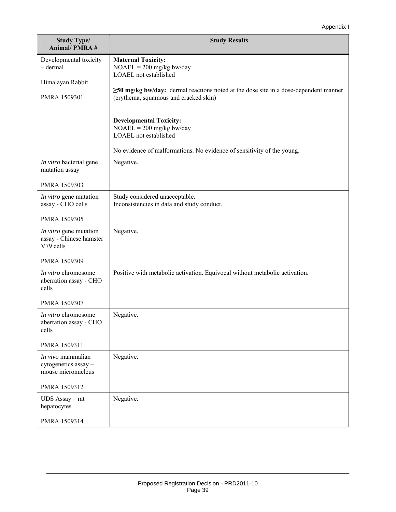| <b>Study Type/</b><br><b>Animal/PMRA#</b>                       | <b>Study Results</b>                                                                                                                |
|-----------------------------------------------------------------|-------------------------------------------------------------------------------------------------------------------------------------|
| Developmental toxicity<br>$-$ dermal                            | <b>Maternal Toxicity:</b><br>$NOAEL = 200$ mg/kg bw/day<br>LOAEL not established                                                    |
| Himalayan Rabbit<br>PMRA 1509301                                | $\geq$ 50 mg/kg bw/day: dermal reactions noted at the dose site in a dose-dependent manner<br>(erythema, squamous and cracked skin) |
|                                                                 | <b>Developmental Toxicity:</b><br>$NOAEL = 200$ mg/kg bw/day<br>LOAEL not established                                               |
|                                                                 | No evidence of malformations. No evidence of sensitivity of the young.                                                              |
| In vitro bacterial gene<br>mutation assay                       | Negative.                                                                                                                           |
| PMRA 1509303                                                    |                                                                                                                                     |
| In vitro gene mutation<br>assay - CHO cells                     | Study considered unacceptable.<br>Inconsistencies in data and study conduct.                                                        |
| PMRA 1509305                                                    |                                                                                                                                     |
| In vitro gene mutation<br>assay - Chinese hamster<br>V79 cells  | Negative.                                                                                                                           |
| PMRA 1509309                                                    |                                                                                                                                     |
| In vitro chromosome<br>aberration assay - CHO<br>cells          | Positive with metabolic activation. Equivocal without metabolic activation.                                                         |
| PMRA 1509307                                                    |                                                                                                                                     |
| In vitro chromosome<br>aberration assay - CHO<br>cells          | Negative.                                                                                                                           |
| PMRA 1509311                                                    |                                                                                                                                     |
| In vivo mammalian<br>cytogenetics assay -<br>mouse micronucleus | Negative.                                                                                                                           |
| PMRA 1509312                                                    |                                                                                                                                     |
| UDS Assay - rat<br>hepatocytes                                  | Negative.                                                                                                                           |
| PMRA 1509314                                                    |                                                                                                                                     |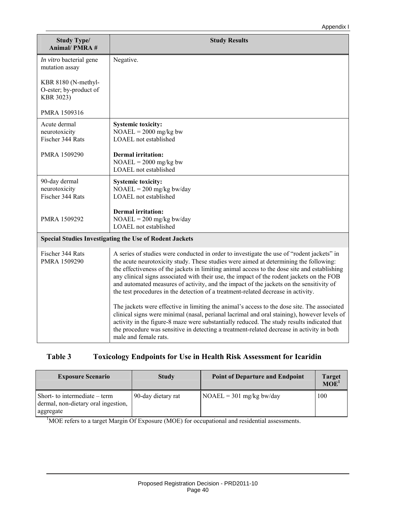| <b>Study Type/</b><br><b>Animal/PMRA#</b>                  | <b>Study Results</b>                                                                                                                                                                                                                                                                                                                                                                                                                                                                                                                                            |
|------------------------------------------------------------|-----------------------------------------------------------------------------------------------------------------------------------------------------------------------------------------------------------------------------------------------------------------------------------------------------------------------------------------------------------------------------------------------------------------------------------------------------------------------------------------------------------------------------------------------------------------|
| In vitro bacterial gene<br>mutation assay                  | Negative.                                                                                                                                                                                                                                                                                                                                                                                                                                                                                                                                                       |
| KBR 8180 (N-methyl-<br>O-ester; by-product of<br>KBR 3023) |                                                                                                                                                                                                                                                                                                                                                                                                                                                                                                                                                                 |
| PMRA 1509316                                               |                                                                                                                                                                                                                                                                                                                                                                                                                                                                                                                                                                 |
| Acute dermal<br>neurotoxicity<br>Fischer 344 Rats          | <b>Systemic toxicity:</b><br>$NOAEL = 2000$ mg/kg bw<br>LOAEL not established                                                                                                                                                                                                                                                                                                                                                                                                                                                                                   |
| PMRA 1509290                                               | <b>Dermal</b> irritation:<br>$NOAEL = 2000$ mg/kg bw<br>LOAEL not established                                                                                                                                                                                                                                                                                                                                                                                                                                                                                   |
| 90-day dermal<br>neurotoxicity<br>Fischer 344 Rats         | <b>Systemic toxicity:</b><br>$NOAEL = 200$ mg/kg bw/day<br>LOAEL not established                                                                                                                                                                                                                                                                                                                                                                                                                                                                                |
| PMRA 1509292                                               | <b>Dermal</b> irritation:<br>$NOAEL = 200$ mg/kg bw/day<br>LOAEL not established                                                                                                                                                                                                                                                                                                                                                                                                                                                                                |
|                                                            | <b>Special Studies Investigating the Use of Rodent Jackets</b>                                                                                                                                                                                                                                                                                                                                                                                                                                                                                                  |
| Fischer 344 Rats<br>PMRA 1509290                           | A series of studies were conducted in order to investigate the use of "rodent jackets" in<br>the acute neurotoxicity study. These studies were aimed at determining the following:<br>the effectiveness of the jackets in limiting animal access to the dose site and establishing<br>any clinical signs associated with their use, the impact of the rodent jackets on the FOB<br>and automated measures of activity, and the impact of the jackets on the sensitivity of<br>the test procedures in the detection of a treatment-related decrease in activity. |
|                                                            | The jackets were effective in limiting the animal's access to the dose site. The associated<br>clinical signs were minimal (nasal, perianal lacrimal and oral staining), however levels of<br>activity in the figure-8 maze were substantially reduced. The study results indicated that<br>the procedure was sensitive in detecting a treatment-related decrease in activity in both<br>male and female rats.                                                                                                                                                  |

## **Table 3 Toxicology Endpoints for Use in Health Risk Assessment for Icaridin**

| <b>Exposure Scenario</b>                                                         | <b>Study</b>       | <b>Point of Departure and Endpoint</b> | <b>Target</b><br>MOE <sup>1</sup> |
|----------------------------------------------------------------------------------|--------------------|----------------------------------------|-----------------------------------|
| Short-to intermediate – term<br>dermal, non-dietary oral ingestion,<br>aggregate | 90-day dietary rat | $NOAEL = 301$ mg/kg bw/day             | 100                               |

<sup>1</sup>MOE refers to a target Margin Of Exposure (MOE) for occupational and residential assessments.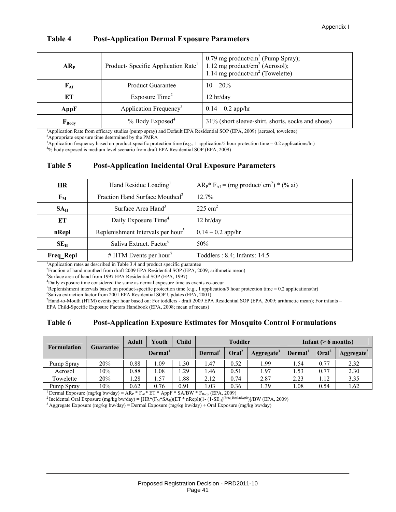| AR <sub>P</sub> | Product-Specific Application Rate <sup>1</sup> | 0.79 mg product/cm <sup>2</sup> (Pump Spray);<br>1.12 mg product/cm <sup>2</sup> (Aerosol);<br>1.14 mg product/cm <sup>2</sup> (Towelette) |  |  |
|-----------------|------------------------------------------------|--------------------------------------------------------------------------------------------------------------------------------------------|--|--|
| $F_{AI}$        | <b>Product Guarantee</b>                       | $10 - 20\%$                                                                                                                                |  |  |
| ET              | Exposure Time <sup>2</sup>                     | $12$ hr/day                                                                                                                                |  |  |
| AppF            | Application Frequency <sup>3</sup>             | $0.14 - 0.2$ app/hr                                                                                                                        |  |  |
| $F_{Body}$      | $%$ Body Exposed <sup>4</sup>                  | 31% (short sleeve-shirt, shorts, socks and shoes)                                                                                          |  |  |

#### **Table 4 Post-Application Dermal Exposure Parameters**

<sup>1</sup>Application Rate from efficacy studies (pump spray) and Default EPA Residential SOP (EPA, 2009) (aerosol, towelette)  $\frac{24}{3}$  appropriate exposure time determined by the BMP A

Appropriate exposure time determined by the PMRA

<sup>3</sup>Application frequency based on product-specific protection time (e.g., 1 application/5 hour protection time = 0.2 applications/hr)  $^{40}$ / hody expected is medium lovel scenario from dreft EPA, Bosidential SOB (EPA, 20

<sup>4</sup>% body exposed is medium level scenario from draft EPA Residential SOP (EPA, 2009)

#### **Table 5 Post-Application Incidental Oral Exposure Parameters**

| <b>HR</b>        | Hand Residue Loading <sup>1</sup>                                        | $AR_{P}$ <sup>*</sup> $F_{AI}$ = (mg product/ cm <sup>2</sup> ) * (% ai) |
|------------------|--------------------------------------------------------------------------|--------------------------------------------------------------------------|
| $F_M$            | Fraction Hand Surface Mouthed <sup>2</sup>                               | 12.7%                                                                    |
| $SA_{H}$         | Surface Area Hand <sup>3</sup>                                           | $225 \text{ cm}^2$                                                       |
| ET               | Daily Exposure Time <sup>4</sup>                                         | 12 hr/day                                                                |
| nRepl            | Replenishment Intervals per hour <sup>5</sup>                            | $0.14 - 0.2$ app/hr                                                      |
| $SE_{H}$         | Saliva Extract. Factor <sup>6</sup>                                      | 50%                                                                      |
| <b>Freq Repl</b> | # HTM Events per hour <sup>7</sup>                                       | Toddlers: 8.4; Infants: 14.5                                             |
|                  | Application rates as described in Table 2.4 and nucleat specific systems |                                                                          |

<sup>1</sup>Application rates as described in Table 3.4 and product specific guarantee  $^{2}$ Epation of band mouthed from draft 2000 EPA Bogidantial SOB (EPA 20

<sup>2</sup> Fraction of hand mouthed from draft 2009 EPA Residential SOP (EPA, 2009; arithmetic mean)

<sup>3</sup>Surface area of hand from 1997 EPA Residential SOP (EPA, 1997)

<sup>4</sup>Daily exposure time considered the same as dermal exposure time as events co-occur

<sup>5</sup>Replenishment intervals based on product-specific protection time (e.g., 1 application/5 hour protection time = 0.2 applications/hr)

- <sup>6</sup>Saliva extraction factor from 2001 EPA Residential SOP Updates (EPA, 2001)
- Hand-to-Mouth (HTM) events per hour based on: For toddlers draft 2009 EPA Residential SOP (EPA, 2009; arithmetic mean); For infants EPA Child-Specific Exposure Factors Handbook (EPA, 2008; mean of means)

#### **Table 6 Post-Application Exposure Estimates for Mosquito Control Formulations**

| <b>Formulation</b>                                                                                                                                                               | Guarantee | <b>Adult</b>        | Youth | <b>Child</b> |                     | <b>Toddler</b>    |                        |               | Infant $($ > 6 months) |                        |
|----------------------------------------------------------------------------------------------------------------------------------------------------------------------------------|-----------|---------------------|-------|--------------|---------------------|-------------------|------------------------|---------------|------------------------|------------------------|
|                                                                                                                                                                                  |           | Dermal <sup>1</sup> |       |              | Dermal <sup>1</sup> | Oral <sup>2</sup> | Aggregate <sup>3</sup> | <b>Dermal</b> | Oral <sup>2</sup>      | Aggregate <sup>3</sup> |
| Pump Spray                                                                                                                                                                       | 20%       | 0.88                | .09   | .30          | 1.47                | 0.52              | 1.99                   | .54           | 0.77                   | 2.32                   |
| Aerosol                                                                                                                                                                          | 10%       | 0.88                | l.08  | .29          | 1.46                | 0.51              | 1.97                   | 1.53          | 0.77                   | 2.30                   |
| Towelette                                                                                                                                                                        | 20%       | 1.28                | 1.57  | l.88         | 2.12                | 0.74              | 2.87                   | 2.23          | 1.12                   | 3.35                   |
| Pump Spray                                                                                                                                                                       | 10%       | 0.62                | 0.76  | 0.91         | 1.03                | 0.36              | 1.39                   | 1.08          | 0.54                   | 1.62                   |
| Dermal Exposure (mg/kg bw/day) = $AR_P * F_{AI} * ET * AppF * SA/BW * F_{Body} (EPA, 2009)$                                                                                      |           |                     |       |              |                     |                   |                        |               |                        |                        |
| <sup>2</sup> Incidental Oral Exposure (mg/kg bw/day) = [HR*(F <sub>M</sub> *SA <sub>H</sub> )(ET * nRepl)(1- (1-SE <sub>H</sub> ) <sup>(Freq_Repl/nRepl)</sup> )]/BW (EPA, 2009) |           |                     |       |              |                     |                   |                        |               |                        |                        |

<sup>2</sup> Incidental Oral Exposure (mg/kg bw/day) = [HR\*(F<sub>M</sub>\*SA<sub>H</sub>)(ET \* nRepl)(1- (1-SE<sub>H</sub>)<sup>(Freq\_Repl/nRepl))]/BW (EPA, 2009) <sup>3</sup> Aggregate Exposure (mg/kg bw/day) = Dermal Exposure (mg/kg bw/day) + Oral Exposure (mg/kg bw/d</sup>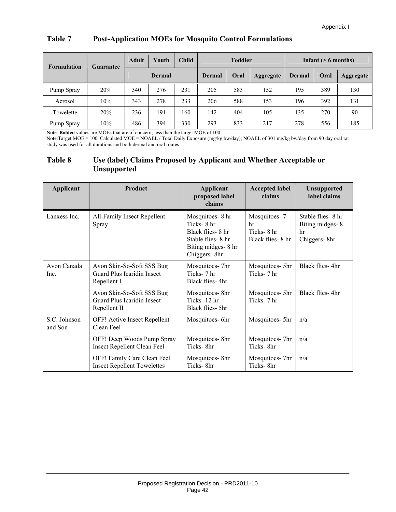#### **Table 7 Post-Application MOEs for Mosquito Control Formulations**

| <b>Formulation</b><br><b>Guarantee</b> |     | <b>Adult</b> | Youth         | <b>Child</b> | <b>Toddler</b> |      |           | Infant $($ > 6 months) |      |                  |
|----------------------------------------|-----|--------------|---------------|--------------|----------------|------|-----------|------------------------|------|------------------|
|                                        |     |              | <b>Dermal</b> |              | <b>Dermal</b>  | Oral | Aggregate | Dermal                 | Oral | <b>Aggregate</b> |
| Pump Spray                             | 20% | 340          | 276           | 231          | 205            | 583  | 152       | 195                    | 389  | 130              |
| Aerosol                                | 10% | 343          | 278           | 233          | 206            | 588  | 153       | 196                    | 392  | 131              |
| Towelette                              | 20% | 236          | 191           | 160          | 142            | 404  | 105       | 135                    | 270  | 90               |
| Pump Spray                             | 10% | 486          | 394           | 330          | 293            | 833  | 217       | 278                    | 556  | 185              |

Note: **Bolded** values are MOEs that are of concern; less than the target MOE of 100

Note:Target MOE = 100. Calculated MOE = NOAEL / Total Daily Exposure (mg/kg bw/day); NOAEL of 301 mg/kg bw/day from 90 day oral rat study was used for all durations and both dermal and oral routes

#### **Table 8 Use (label) Claims Proposed by Applicant and Whether Acceptable or Unsupported**

| Applicant               | Product                                                                 | <b>Applicant</b><br>proposed label<br>claims                                                                   | <b>Accepted label</b><br>claims                      | <b>Unsupported</b><br>label claims                           |
|-------------------------|-------------------------------------------------------------------------|----------------------------------------------------------------------------------------------------------------|------------------------------------------------------|--------------------------------------------------------------|
| Lanxess Inc.            | All-Family Insect Repellent<br>Spray                                    | Mosquitoes-8 hr<br>Ticks-8 hr<br>Black flies-8 hr<br>Stable flies - 8 hr<br>Biting midges-8 hr<br>Chiggers-8hr | Mosquitoes-7<br>hr<br>Ticks-8 hr<br>Black flies-8 hr | Stable flies - 8 hr<br>Biting midges-8<br>hr<br>Chiggers-8hr |
| Avon Canada<br>Inc.     | Avon Skin-So-Soft SSS Bug<br>Guard Plus Icaridin Insect<br>Repellent I  | Mosquitoes- 7hr<br>Ticks-7 hr<br>Black flies-4hr                                                               | Mosquitoes- 5hr<br>Ticks-7 hr                        | Black flies-4hr                                              |
|                         | Avon Skin-So-Soft SSS Bug<br>Guard Plus Icaridin Insect<br>Repellent II | Mosquitoes-8hr<br>Ticks-12 hr<br>Black flies- 5hr                                                              | Mosquitoes- 5hr<br>Ticks-7 hr                        | Black flies-4hr                                              |
| S.C. Johnson<br>and Son | OFF! Active Insect Repellent<br>Clean Feel                              | Mosquitoes-6hr                                                                                                 | Mosquitoes- 5hr                                      | n/a                                                          |
|                         | OFF! Deep Woods Pump Spray<br><b>Insect Repellent Clean Feel</b>        | Mosquitoes-8hr<br>Ticks-8hr                                                                                    | Mosquitoes-7hr<br>Ticks-8hr                          | n/a                                                          |
|                         | OFF! Family Care Clean Feel<br><b>Insect Repellent Towelettes</b>       | Mosquitoes-8hr<br>Ticks-8hr                                                                                    | Mosquitoes-7hr<br>Ticks-8hr                          | n/a                                                          |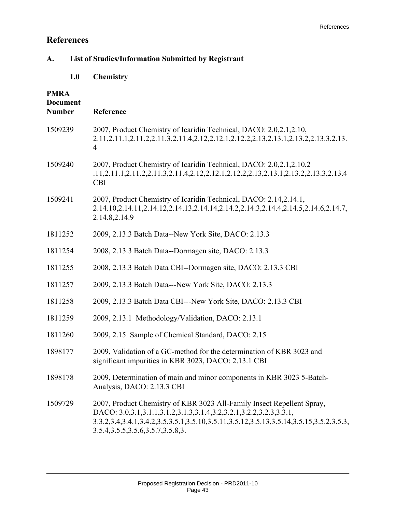## **References**

## **A. List of Studies/Information Submitted by Registrant**

 **1.0 Chemistry**

## **PMRA**

| <b>Document</b><br><b>Number</b> | Reference                                                                                                                                                                                                                                                                   |
|----------------------------------|-----------------------------------------------------------------------------------------------------------------------------------------------------------------------------------------------------------------------------------------------------------------------------|
| 1509239                          | 2007, Product Chemistry of Icaridin Technical, DACO: 2.0,2.1,2.10,<br>2.11, 2.11.1, 2.11.2, 2.11.3, 2.11.4, 2.12, 2.12.1, 2.12.2, 2.13, 2.13.1, 2.13.2, 2.13.3, 2.13.<br>$\overline{4}$                                                                                     |
| 1509240                          | 2007, Product Chemistry of Icaridin Technical, DACO: 2.0,2.1,2.10,2<br>.11,2.11.1,2.11.2,2.11.3,2.11.4,2.12,2.12.1,2.12.2,2.13,2.13.1,2.13.2,2.13.3,2.13.4<br><b>CBI</b>                                                                                                    |
| 1509241                          | 2007, Product Chemistry of Icaridin Technical, DACO: 2.14,2.14.1,<br>2.14.10,2.14.11,2.14.12,2.14.13,2.14.14,2.14.2,2.14.3,2.14.4,2.14.5,2.14.6,2.14.7,<br>2.14.8,2.14.9                                                                                                    |
| 1811252                          | 2009, 2.13.3 Batch Data--New York Site, DACO: 2.13.3                                                                                                                                                                                                                        |
| 1811254                          | 2008, 2.13.3 Batch Data--Dormagen site, DACO: 2.13.3                                                                                                                                                                                                                        |
| 1811255                          | 2008, 2.13.3 Batch Data CBI--Dormagen site, DACO: 2.13.3 CBI                                                                                                                                                                                                                |
| 1811257                          | 2009, 2.13.3 Batch Data---New York Site, DACO: 2.13.3                                                                                                                                                                                                                       |
| 1811258                          | 2009, 2.13.3 Batch Data CBI---New York Site, DACO: 2.13.3 CBI                                                                                                                                                                                                               |
| 1811259                          | 2009, 2.13.1 Methodology/Validation, DACO: 2.13.1                                                                                                                                                                                                                           |
| 1811260                          | 2009, 2.15 Sample of Chemical Standard, DACO: 2.15                                                                                                                                                                                                                          |
| 1898177                          | 2009, Validation of a GC-method for the determination of KBR 3023 and<br>significant impurities in KBR 3023, DACO: 2.13.1 CBI                                                                                                                                               |
| 1898178                          | 2009, Determination of main and minor components in KBR 3023 5-Batch-<br>Analysis, DACO: 2.13.3 CBI                                                                                                                                                                         |
| 1509729                          | 2007, Product Chemistry of KBR 3023 All-Family Insect Repellent Spray,<br>DACO: 3.0,3.1,3.1.1,3.1.2,3.1.3,3.1.4,3.2,3.2.1,3.2.2,3.2.3,3.3.1,<br>3.3.2,3.4,3.4.1,3.4.2,3.5.1,3.5.10,3.5.11,3.5.12,3.5.13,3.5.14,3.5.15,3.5.2,3.5.3,<br>3.5.4, 3.5.5, 3.5.6, 3.5.7, 3.5.8, 3. |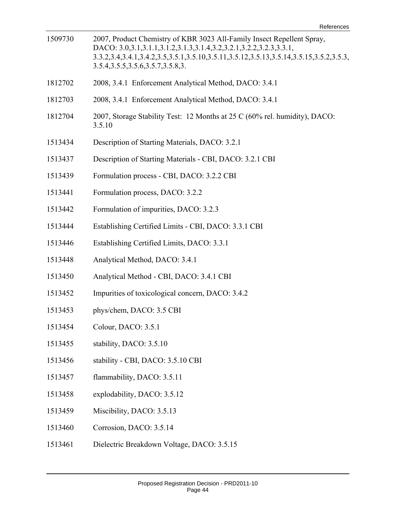| 1509730 | 2007, Product Chemistry of KBR 3023 All-Family Insect Repellent Spray,<br>DACO: 3.0,3.1,3.1.1,3.1.2,3.1.3,3.1.4,3.2,3.2.1,3.2.2,3.2.3,3.3.1,<br>3.3.2,3.4,3.4.1,3.4.2,3.5,3.5.1,3.5.10,3.5.11,3.5.12,3.5.13,3.5.14,3.5.15,3.5.2,3.5.3,<br>3.5.4, 3.5.5, 3.5.6, 3.5.7, 3.5.8, 3. |
|---------|---------------------------------------------------------------------------------------------------------------------------------------------------------------------------------------------------------------------------------------------------------------------------------|
| 1812702 | 2008, 3.4.1 Enforcement Analytical Method, DACO: 3.4.1                                                                                                                                                                                                                          |
| 1812703 | 2008, 3.4.1 Enforcement Analytical Method, DACO: 3.4.1                                                                                                                                                                                                                          |
| 1812704 | 2007, Storage Stability Test: 12 Months at 25 C (60% rel. humidity), DACO:<br>3.5.10                                                                                                                                                                                            |
| 1513434 | Description of Starting Materials, DACO: 3.2.1                                                                                                                                                                                                                                  |
| 1513437 | Description of Starting Materials - CBI, DACO: 3.2.1 CBI                                                                                                                                                                                                                        |
| 1513439 | Formulation process - CBI, DACO: 3.2.2 CBI                                                                                                                                                                                                                                      |
| 1513441 | Formulation process, DACO: 3.2.2                                                                                                                                                                                                                                                |
| 1513442 | Formulation of impurities, DACO: 3.2.3                                                                                                                                                                                                                                          |
| 1513444 | Establishing Certified Limits - CBI, DACO: 3.3.1 CBI                                                                                                                                                                                                                            |
| 1513446 | Establishing Certified Limits, DACO: 3.3.1                                                                                                                                                                                                                                      |
| 1513448 | Analytical Method, DACO: 3.4.1                                                                                                                                                                                                                                                  |
| 1513450 | Analytical Method - CBI, DACO: 3.4.1 CBI                                                                                                                                                                                                                                        |
| 1513452 | Impurities of toxicological concern, DACO: 3.4.2                                                                                                                                                                                                                                |
| 1513453 | phys/chem, DACO: 3.5 CBI                                                                                                                                                                                                                                                        |
| 1513454 | Colour, DACO: 3.5.1                                                                                                                                                                                                                                                             |
| 1513455 | stability, DACO: 3.5.10                                                                                                                                                                                                                                                         |
| 1513456 | stability - CBI, DACO: 3.5.10 CBI                                                                                                                                                                                                                                               |
| 1513457 | flammability, DACO: 3.5.11                                                                                                                                                                                                                                                      |
| 1513458 | explodability, DACO: 3.5.12                                                                                                                                                                                                                                                     |
| 1513459 | Miscibility, DACO: 3.5.13                                                                                                                                                                                                                                                       |
| 1513460 | Corrosion, DACO: 3.5.14                                                                                                                                                                                                                                                         |
| 1513461 | Dielectric Breakdown Voltage, DACO: 3.5.15                                                                                                                                                                                                                                      |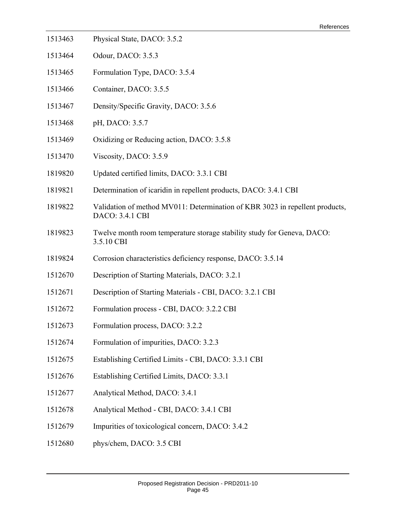- 1513463 Physical State, DACO: 3.5.2
- 1513464 Odour, DACO: 3.5.3
- 1513465 Formulation Type, DACO: 3.5.4
- 1513466 Container, DACO: 3.5.5
- 1513467 Density/Specific Gravity, DACO: 3.5.6
- 1513468 pH, DACO: 3.5.7
- 1513469 Oxidizing or Reducing action, DACO: 3.5.8
- 1513470 Viscosity, DACO: 3.5.9
- 1819820 Updated certified limits, DACO: 3.3.1 CBI
- 1819821 Determination of icaridin in repellent products, DACO: 3.4.1 CBI
- 1819822 Validation of method MV011: Determination of KBR 3023 in repellent products, DACO: 3.4.1 CBI
- 1819823 Twelve month room temperature storage stability study for Geneva, DACO: 3.5.10 CBI
- 1819824 Corrosion characteristics deficiency response, DACO: 3.5.14
- 1512670 Description of Starting Materials, DACO: 3.2.1
- 1512671 Description of Starting Materials CBI, DACO: 3.2.1 CBI
- 1512672 Formulation process CBI, DACO: 3.2.2 CBI
- 1512673 Formulation process, DACO: 3.2.2
- 1512674 Formulation of impurities, DACO: 3.2.3
- 1512675 Establishing Certified Limits CBI, DACO: 3.3.1 CBI
- 1512676 Establishing Certified Limits, DACO: 3.3.1
- 1512677 Analytical Method, DACO: 3.4.1
- 1512678 Analytical Method CBI, DACO: 3.4.1 CBI
- 1512679 Impurities of toxicological concern, DACO: 3.4.2
- 1512680 phys/chem, DACO: 3.5 CBI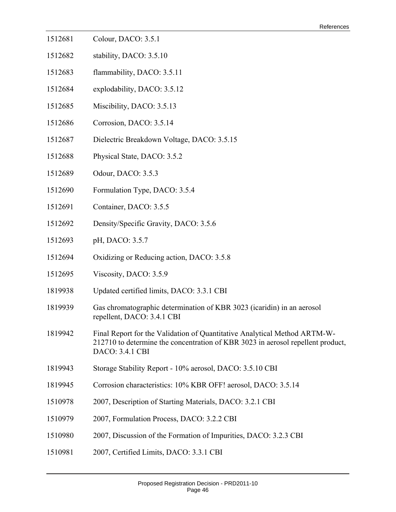- 1512681 Colour, DACO: 3.5.1
- 1512682 stability, DACO: 3.5.10
- 1512683 flammability, DACO: 3.5.11
- 1512684 explodability, DACO: 3.5.12
- 1512685 Miscibility, DACO: 3.5.13
- 1512686 Corrosion, DACO: 3.5.14
- 1512687 Dielectric Breakdown Voltage, DACO: 3.5.15
- 1512688 Physical State, DACO: 3.5.2
- 1512689 Odour, DACO: 3.5.3
- 1512690 Formulation Type, DACO: 3.5.4
- 1512691 Container, DACO: 3.5.5
- 1512692 Density/Specific Gravity, DACO: 3.5.6
- 1512693 pH, DACO: 3.5.7
- 1512694 Oxidizing or Reducing action, DACO: 3.5.8
- 1512695 Viscosity, DACO: 3.5.9
- 1819938 Updated certified limits, DACO: 3.3.1 CBI
- 1819939 Gas chromatographic determination of KBR 3023 (icaridin) in an aerosol repellent, DACO: 3.4.1 CBI
- 1819942 Final Report for the Validation of Quantitative Analytical Method ARTM-W-212710 to determine the concentration of KBR 3023 in aerosol repellent product, DACO: 3.4.1 CBI
- 1819943 Storage Stability Report 10% aerosol, DACO: 3.5.10 CBI
- 1819945 Corrosion characteristics: 10% KBR OFF! aerosol, DACO: 3.5.14
- 1510978 2007, Description of Starting Materials, DACO: 3.2.1 CBI
- 1510979 2007, Formulation Process, DACO: 3.2.2 CBI
- 1510980 2007, Discussion of the Formation of Impurities, DACO: 3.2.3 CBI
- 1510981 2007, Certified Limits, DACO: 3.3.1 CBI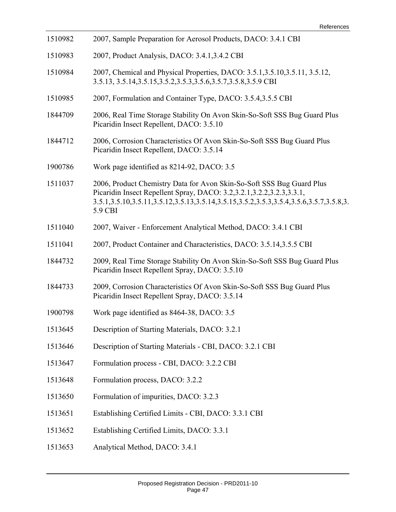| 1510982 | 2007, Sample Preparation for Aerosol Products, DACO: 3.4.1 CBI                                                                                                                                                                                                  |
|---------|-----------------------------------------------------------------------------------------------------------------------------------------------------------------------------------------------------------------------------------------------------------------|
| 1510983 | 2007, Product Analysis, DACO: 3.4.1,3.4.2 CBI                                                                                                                                                                                                                   |
| 1510984 | 2007, Chemical and Physical Properties, DACO: 3.5.1,3.5.10,3.5.11, 3.5.12,<br>3.5.13, 3.5.14, 3.5.15, 3.5.2, 3.5.3, 3.5.6, 3.5.7, 3.5.8, 3.5.9 CBI                                                                                                              |
| 1510985 | 2007, Formulation and Container Type, DACO: 3.5.4,3.5.5 CBI                                                                                                                                                                                                     |
| 1844709 | 2006, Real Time Storage Stability On Avon Skin-So-Soft SSS Bug Guard Plus<br>Picaridin Insect Repellent, DACO: 3.5.10                                                                                                                                           |
| 1844712 | 2006, Corrosion Characteristics Of Avon Skin-So-Soft SSS Bug Guard Plus<br>Picaridin Insect Repellent, DACO: 3.5.14                                                                                                                                             |
| 1900786 | Work page identified as 8214-92, DACO: 3.5                                                                                                                                                                                                                      |
| 1511037 | 2006, Product Chemistry Data for Avon Skin-So-Soft SSS Bug Guard Plus<br>Picaridin Insect Repellent Spray, DACO: 3.2,3.2.1,3.2.2,3.2.3,3.3.1,<br>3.5.1, 3.5.10, 3.5.11, 3.5.12, 3.5.13, 3.5.14, 3.5.15, 3.5.2, 3.5.3, 3.5.4, 3.5.6, 3.5.7, 3.5.8, 3.<br>5.9 CBI |
| 1511040 | 2007, Waiver - Enforcement Analytical Method, DACO: 3.4.1 CBI                                                                                                                                                                                                   |
| 1511041 | 2007, Product Container and Characteristics, DACO: 3.5.14,3.5.5 CBI                                                                                                                                                                                             |
| 1844732 | 2009, Real Time Storage Stability On Avon Skin-So-Soft SSS Bug Guard Plus<br>Picaridin Insect Repellent Spray, DACO: 3.5.10                                                                                                                                     |
| 1844733 | 2009, Corrosion Characteristics Of Avon Skin-So-Soft SSS Bug Guard Plus<br>Picaridin Insect Repellent Spray, DACO: 3.5.14                                                                                                                                       |
| 1900798 | Work page identified as 8464-38, DACO: 3.5                                                                                                                                                                                                                      |
| 1513645 | Description of Starting Materials, DACO: 3.2.1                                                                                                                                                                                                                  |
| 1513646 | Description of Starting Materials - CBI, DACO: 3.2.1 CBI                                                                                                                                                                                                        |
| 1513647 | Formulation process - CBI, DACO: 3.2.2 CBI                                                                                                                                                                                                                      |
| 1513648 | Formulation process, DACO: 3.2.2                                                                                                                                                                                                                                |
| 1513650 | Formulation of impurities, DACO: 3.2.3                                                                                                                                                                                                                          |
| 1513651 | Establishing Certified Limits - CBI, DACO: 3.3.1 CBI                                                                                                                                                                                                            |
| 1513652 | Establishing Certified Limits, DACO: 3.3.1                                                                                                                                                                                                                      |
| 1513653 | Analytical Method, DACO: 3.4.1                                                                                                                                                                                                                                  |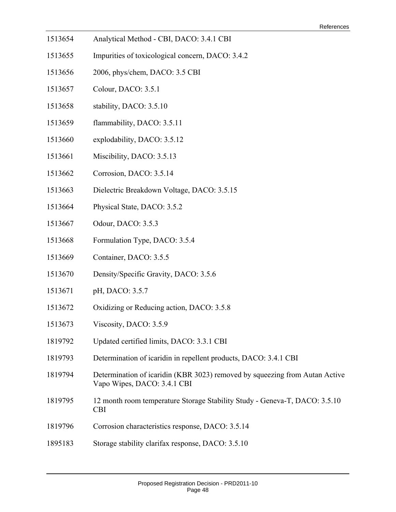- 1513654 Analytical Method CBI, DACO: 3.4.1 CBI
- 1513655 Impurities of toxicological concern, DACO: 3.4.2
- 1513656 2006, phys/chem, DACO: 3.5 CBI
- 1513657 Colour, DACO: 3.5.1
- 1513658 stability, DACO: 3.5.10
- 1513659 flammability, DACO: 3.5.11
- 1513660 explodability, DACO: 3.5.12
- 1513661 Miscibility, DACO: 3.5.13
- 1513662 Corrosion, DACO: 3.5.14
- 1513663 Dielectric Breakdown Voltage, DACO: 3.5.15
- 1513664 Physical State, DACO: 3.5.2
- 1513667 Odour, DACO: 3.5.3
- 1513668 Formulation Type, DACO: 3.5.4
- 1513669 Container, DACO: 3.5.5
- 1513670 Density/Specific Gravity, DACO: 3.5.6
- 1513671 pH, DACO: 3.5.7
- 1513672 Oxidizing or Reducing action, DACO: 3.5.8
- 1513673 Viscosity, DACO: 3.5.9
- 1819792 Updated certified limits, DACO: 3.3.1 CBI
- 1819793 Determination of icaridin in repellent products, DACO: 3.4.1 CBI
- 1819794 Determination of icaridin (KBR 3023) removed by squeezing from Autan Active Vapo Wipes, DACO: 3.4.1 CBI
- 1819795 12 month room temperature Storage Stability Study Geneva-T, DACO: 3.5.10 CBI
- 1819796 Corrosion characteristics response, DACO: 3.5.14
- 1895183 Storage stability clarifax response, DACO: 3.5.10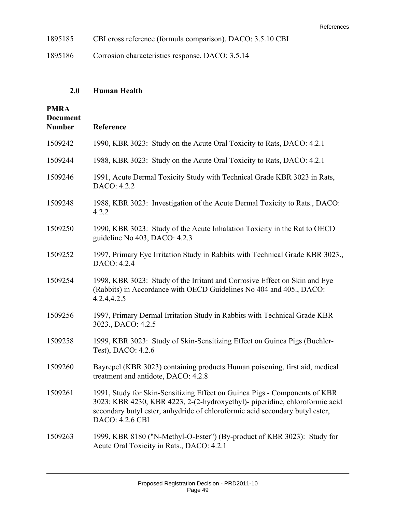| 1895185 | CBI cross reference (formula comparison), DACO: 3.5.10 CBI |  |  |
|---------|------------------------------------------------------------|--|--|
|---------|------------------------------------------------------------|--|--|

1895186 Corrosion characteristics response, DACO: 3.5.14

## **2.0 Human Health**

| <b>PMRA</b>                      |                                                                                                                                                                                                                                                              |
|----------------------------------|--------------------------------------------------------------------------------------------------------------------------------------------------------------------------------------------------------------------------------------------------------------|
| <b>Document</b><br><b>Number</b> | Reference                                                                                                                                                                                                                                                    |
| 1509242                          | 1990, KBR 3023: Study on the Acute Oral Toxicity to Rats, DACO: 4.2.1                                                                                                                                                                                        |
| 1509244                          | 1988, KBR 3023: Study on the Acute Oral Toxicity to Rats, DACO: 4.2.1                                                                                                                                                                                        |
| 1509246                          | 1991, Acute Dermal Toxicity Study with Technical Grade KBR 3023 in Rats,<br>DACO: 4.2.2                                                                                                                                                                      |
| 1509248                          | 1988, KBR 3023: Investigation of the Acute Dermal Toxicity to Rats., DACO:<br>4.2.2                                                                                                                                                                          |
| 1509250                          | 1990, KBR 3023: Study of the Acute Inhalation Toxicity in the Rat to OECD<br>guideline No 403, DACO: 4.2.3                                                                                                                                                   |
| 1509252                          | 1997, Primary Eye Irritation Study in Rabbits with Technical Grade KBR 3023.,<br>DACO: 4.2.4                                                                                                                                                                 |
| 1509254                          | 1998, KBR 3023: Study of the Irritant and Corrosive Effect on Skin and Eye<br>(Rabbits) in Accordance with OECD Guidelines No 404 and 405., DACO:<br>4.2.4,4.2.5                                                                                             |
| 1509256                          | 1997, Primary Dermal Irritation Study in Rabbits with Technical Grade KBR<br>3023., DACO: 4.2.5                                                                                                                                                              |
| 1509258                          | 1999, KBR 3023: Study of Skin-Sensitizing Effect on Guinea Pigs (Buehler-<br>Test), DACO: 4.2.6                                                                                                                                                              |
| 1509260                          | Bayrepel (KBR 3023) containing products Human poisoning, first aid, medical<br>treatment and antidote, DACO: 4.2.8                                                                                                                                           |
| 1509261                          | 1991, Study for Skin-Sensitizing Effect on Guinea Pigs - Components of KBR<br>3023: KBR 4230, KBR 4223, 2-(2-hydroxyethyl)- piperidine, chloroformic acid<br>secondary butyl ester, anhydride of chloroformic acid secondary butyl ester,<br>DACO: 4.2.6 CBI |
| 1509263                          | 1999, KBR 8180 ("N-Methyl-O-Ester") (By-product of KBR 3023): Study for<br>Acute Oral Toxicity in Rats., DACO: 4.2.1                                                                                                                                         |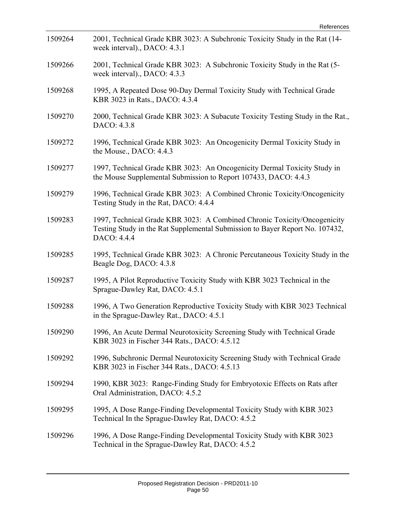| 1509264 | 2001, Technical Grade KBR 3023: A Subchronic Toxicity Study in the Rat (14-<br>week interval)., DACO: 4.3.1                                                             |
|---------|-------------------------------------------------------------------------------------------------------------------------------------------------------------------------|
| 1509266 | 2001, Technical Grade KBR 3023: A Subchronic Toxicity Study in the Rat (5-<br>week interval)., DACO: 4.3.3                                                              |
| 1509268 | 1995, A Repeated Dose 90-Day Dermal Toxicity Study with Technical Grade<br>KBR 3023 in Rats., DACO: 4.3.4                                                               |
| 1509270 | 2000, Technical Grade KBR 3023: A Subacute Toxicity Testing Study in the Rat.,<br>DACO: 4.3.8                                                                           |
| 1509272 | 1996, Technical Grade KBR 3023: An Oncogenicity Dermal Toxicity Study in<br>the Mouse., DACO: 4.4.3                                                                     |
| 1509277 | 1997, Technical Grade KBR 3023: An Oncogenicity Dermal Toxicity Study in<br>the Mouse Supplemental Submission to Report 107433, DACO: 4.4.3                             |
| 1509279 | 1996, Technical Grade KBR 3023: A Combined Chronic Toxicity/Oncogenicity<br>Testing Study in the Rat, DACO: 4.4.4                                                       |
| 1509283 | 1997, Technical Grade KBR 3023: A Combined Chronic Toxicity/Oncogenicity<br>Testing Study in the Rat Supplemental Submission to Bayer Report No. 107432,<br>DACO: 4.4.4 |
| 1509285 | 1995, Technical Grade KBR 3023: A Chronic Percutaneous Toxicity Study in the<br>Beagle Dog, DACO: 4.3.8                                                                 |
| 1509287 | 1995, A Pilot Reproductive Toxicity Study with KBR 3023 Technical in the<br>Sprague-Dawley Rat, DACO: 4.5.1                                                             |
| 1509288 | 1996, A Two Generation Reproductive Toxicity Study with KBR 3023 Technical<br>in the Sprague-Dawley Rat., DACO: 4.5.1                                                   |
| 1509290 | 1996, An Acute Dermal Neurotoxicity Screening Study with Technical Grade<br>KBR 3023 in Fischer 344 Rats., DACO: 4.5.12                                                 |
| 1509292 | 1996, Subchronic Dermal Neurotoxicity Screening Study with Technical Grade<br>KBR 3023 in Fischer 344 Rats., DACO: 4.5.13                                               |
| 1509294 | 1990, KBR 3023: Range-Finding Study for Embryotoxic Effects on Rats after<br>Oral Administration, DACO: 4.5.2                                                           |
| 1509295 | 1995, A Dose Range-Finding Developmental Toxicity Study with KBR 3023<br>Technical In the Sprague-Dawley Rat, DACO: 4.5.2                                               |
| 1509296 | 1996, A Dose Range-Finding Developmental Toxicity Study with KBR 3023<br>Technical in the Sprague-Dawley Rat, DACO: 4.5.2                                               |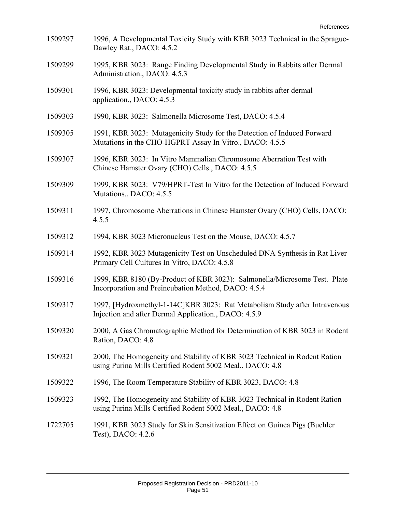| 1509297 | 1996, A Developmental Toxicity Study with KBR 3023 Technical in the Sprague-<br>Dawley Rat., DACO: 4.5.2                                |
|---------|-----------------------------------------------------------------------------------------------------------------------------------------|
| 1509299 | 1995, KBR 3023: Range Finding Developmental Study in Rabbits after Dermal<br>Administration., DACO: 4.5.3                               |
| 1509301 | 1996, KBR 3023: Developmental toxicity study in rabbits after dermal<br>application., DACO: 4.5.3                                       |
| 1509303 | 1990, KBR 3023: Salmonella Microsome Test, DACO: 4.5.4                                                                                  |
| 1509305 | 1991, KBR 3023: Mutagenicity Study for the Detection of Induced Forward<br>Mutations in the CHO-HGPRT Assay In Vitro., DACO: 4.5.5      |
| 1509307 | 1996, KBR 3023: In Vitro Mammalian Chromosome Aberration Test with<br>Chinese Hamster Ovary (CHO) Cells., DACO: 4.5.5                   |
| 1509309 | 1999, KBR 3023: V79/HPRT-Test In Vitro for the Detection of Induced Forward<br>Mutations., DACO: 4.5.5                                  |
| 1509311 | 1997, Chromosome Aberrations in Chinese Hamster Ovary (CHO) Cells, DACO:<br>4.5.5                                                       |
| 1509312 | 1994, KBR 3023 Micronucleus Test on the Mouse, DACO: 4.5.7                                                                              |
| 1509314 | 1992, KBR 3023 Mutagenicity Test on Unscheduled DNA Synthesis in Rat Liver<br>Primary Cell Cultures In Vitro, DACO: 4.5.8               |
| 1509316 | 1999, KBR 8180 (By-Product of KBR 3023): Salmonella/Microsome Test. Plate<br>Incorporation and Preincubation Method, DACO: 4.5.4        |
| 1509317 | 1997, [Hydroxmethyl-1-14C]KBR 3023: Rat Metabolism Study after Intravenous<br>Injection and after Dermal Application., DACO: 4.5.9      |
| 1509320 | 2000, A Gas Chromatographic Method for Determination of KBR 3023 in Rodent<br>Ration, DACO: 4.8                                         |
| 1509321 | 2000, The Homogeneity and Stability of KBR 3023 Technical in Rodent Ration<br>using Purina Mills Certified Rodent 5002 Meal., DACO: 4.8 |
| 1509322 | 1996, The Room Temperature Stability of KBR 3023, DACO: 4.8                                                                             |
| 1509323 | 1992, The Homogeneity and Stability of KBR 3023 Technical in Rodent Ration<br>using Purina Mills Certified Rodent 5002 Meal., DACO: 4.8 |
| 1722705 | 1991, KBR 3023 Study for Skin Sensitization Effect on Guinea Pigs (Buehler<br>Test), DACO: 4.2.6                                        |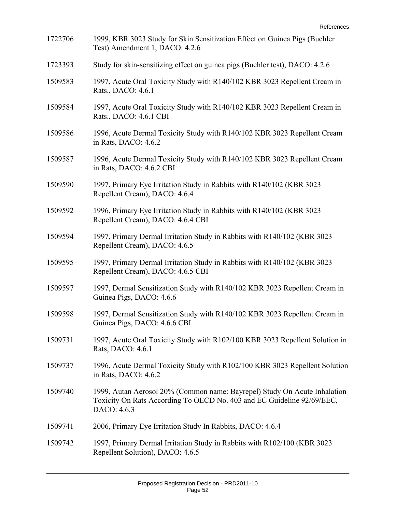| 1722706 | 1999, KBR 3023 Study for Skin Sensitization Effect on Guinea Pigs (Buehler<br>Test) Amendment 1, DACO: 4.2.6                                                       |
|---------|--------------------------------------------------------------------------------------------------------------------------------------------------------------------|
| 1723393 | Study for skin-sensitizing effect on guinea pigs (Buehler test), DACO: 4.2.6                                                                                       |
| 1509583 | 1997, Acute Oral Toxicity Study with R140/102 KBR 3023 Repellent Cream in<br>Rats., DACO: 4.6.1                                                                    |
| 1509584 | 1997, Acute Oral Toxicity Study with R140/102 KBR 3023 Repellent Cream in<br>Rats., DACO: 4.6.1 CBI                                                                |
| 1509586 | 1996, Acute Dermal Toxicity Study with R140/102 KBR 3023 Repellent Cream<br>in Rats, DACO: 4.6.2                                                                   |
| 1509587 | 1996, Acute Dermal Toxicity Study with R140/102 KBR 3023 Repellent Cream<br>in Rats, DACO: 4.6.2 CBI                                                               |
| 1509590 | 1997, Primary Eye Irritation Study in Rabbits with R140/102 (KBR 3023)<br>Repellent Cream), DACO: 4.6.4                                                            |
| 1509592 | 1996, Primary Eye Irritation Study in Rabbits with R140/102 (KBR 3023<br>Repellent Cream), DACO: 4.6.4 CBI                                                         |
| 1509594 | 1997, Primary Dermal Irritation Study in Rabbits with R140/102 (KBR 3023<br>Repellent Cream), DACO: 4.6.5                                                          |
| 1509595 | 1997, Primary Dermal Irritation Study in Rabbits with R140/102 (KBR 3023)<br>Repellent Cream), DACO: 4.6.5 CBI                                                     |
| 1509597 | 1997, Dermal Sensitization Study with R140/102 KBR 3023 Repellent Cream in<br>Guinea Pigs, DACO: 4.6.6                                                             |
| 1509598 | 1997, Dermal Sensitization Study with R140/102 KBR 3023 Repellent Cream in<br>Guinea Pigs, DACO: 4.6.6 CBI                                                         |
| 1509731 | 1997, Acute Oral Toxicity Study with R102/100 KBR 3023 Repellent Solution in<br>Rats, DACO: 4.6.1                                                                  |
| 1509737 | 1996, Acute Dermal Toxicity Study with R102/100 KBR 3023 Repellent Solution<br>in Rats, DACO: 4.6.2                                                                |
| 1509740 | 1999, Autan Aerosol 20% (Common name: Bayrepel) Study On Acute Inhalation<br>Toxicity On Rats According To OECD No. 403 and EC Guideline 92/69/EEC,<br>DACO: 4.6.3 |
| 1509741 | 2006, Primary Eye Irritation Study In Rabbits, DACO: 4.6.4                                                                                                         |
| 1509742 | 1997, Primary Dermal Irritation Study in Rabbits with R102/100 (KBR 3023<br>Repellent Solution), DACO: 4.6.5                                                       |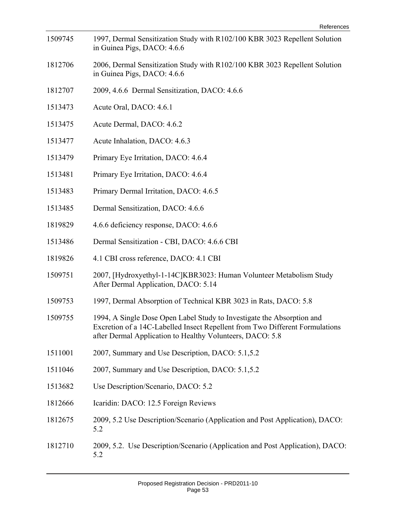| 1509745 | 1997, Dermal Sensitization Study with R102/100 KBR 3023 Repellent Solution<br>in Guinea Pigs, DACO: 4.6.6                                                                                                           |
|---------|---------------------------------------------------------------------------------------------------------------------------------------------------------------------------------------------------------------------|
| 1812706 | 2006, Dermal Sensitization Study with R102/100 KBR 3023 Repellent Solution<br>in Guinea Pigs, DACO: 4.6.6                                                                                                           |
| 1812707 | 2009, 4.6.6 Dermal Sensitization, DACO: 4.6.6                                                                                                                                                                       |
| 1513473 | Acute Oral, DACO: 4.6.1                                                                                                                                                                                             |
| 1513475 | Acute Dermal, DACO: 4.6.2                                                                                                                                                                                           |
| 1513477 | Acute Inhalation, DACO: 4.6.3                                                                                                                                                                                       |
| 1513479 | Primary Eye Irritation, DACO: 4.6.4                                                                                                                                                                                 |
| 1513481 | Primary Eye Irritation, DACO: 4.6.4                                                                                                                                                                                 |
| 1513483 | Primary Dermal Irritation, DACO: 4.6.5                                                                                                                                                                              |
| 1513485 | Dermal Sensitization, DACO: 4.6.6                                                                                                                                                                                   |
| 1819829 | 4.6.6 deficiency response, DACO: 4.6.6                                                                                                                                                                              |
| 1513486 | Dermal Sensitization - CBI, DACO: 4.6.6 CBI                                                                                                                                                                         |
| 1819826 | 4.1 CBI cross reference, DACO: 4.1 CBI                                                                                                                                                                              |
| 1509751 | 2007, [Hydroxyethyl-1-14C]KBR3023: Human Volunteer Metabolism Study<br>After Dermal Application, DACO: 5.14                                                                                                         |
| 1509753 | 1997, Dermal Absorption of Technical KBR 3023 in Rats, DACO: 5.8                                                                                                                                                    |
| 1509755 | 1994, A Single Dose Open Label Study to Investigate the Absorption and<br>Excretion of a 14C-Labelled Insect Repellent from Two Different Formulations<br>after Dermal Application to Healthy Volunteers, DACO: 5.8 |
| 1511001 | 2007, Summary and Use Description, DACO: 5.1,5.2                                                                                                                                                                    |
| 1511046 | 2007, Summary and Use Description, DACO: 5.1,5.2                                                                                                                                                                    |
| 1513682 | Use Description/Scenario, DACO: 5.2                                                                                                                                                                                 |
| 1812666 | Icaridin: DACO: 12.5 Foreign Reviews                                                                                                                                                                                |
| 1812675 | 2009, 5.2 Use Description/Scenario (Application and Post Application), DACO:<br>5.2                                                                                                                                 |
| 1812710 | 2009, 5.2. Use Description/Scenario (Application and Post Application), DACO:<br>5.2                                                                                                                                |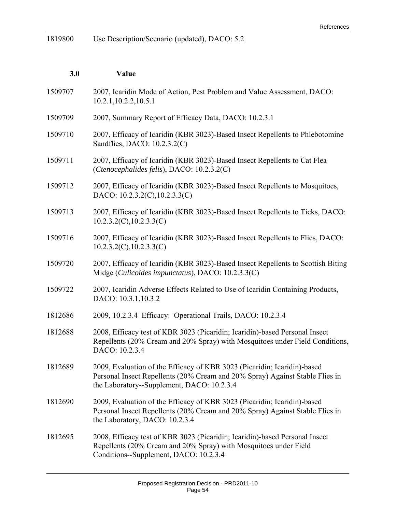1819800 Use Description/Scenario (updated), DACO: 5.2

| 3.0     | Value                                                                                                                                                                                                  |
|---------|--------------------------------------------------------------------------------------------------------------------------------------------------------------------------------------------------------|
| 1509707 | 2007, Icaridin Mode of Action, Pest Problem and Value Assessment, DACO:<br>10.2.1, 10.2.2, 10.5.1                                                                                                      |
| 1509709 | 2007, Summary Report of Efficacy Data, DACO: 10.2.3.1                                                                                                                                                  |
| 1509710 | 2007, Efficacy of Icaridin (KBR 3023)-Based Insect Repellents to Phlebotomine<br>Sandflies, DACO: 10.2.3.2(C)                                                                                          |
| 1509711 | 2007, Efficacy of Icaridin (KBR 3023)-Based Insect Repellents to Cat Flea<br>(Ctenocephalides felis), DACO: 10.2.3.2(C)                                                                                |
| 1509712 | 2007, Efficacy of Icaridin (KBR 3023)-Based Insect Repellents to Mosquitoes,<br>DACO: 10.2.3.2(C), 10.2.3.3(C)                                                                                         |
| 1509713 | 2007, Efficacy of Icaridin (KBR 3023)-Based Insect Repellents to Ticks, DACO:<br>10.2.3.2(C), 10.2.3.3(C)                                                                                              |
| 1509716 | 2007, Efficacy of Icaridin (KBR 3023)-Based Insect Repellents to Flies, DACO:<br>10.2.3.2(C), 10.2.3.3(C)                                                                                              |
| 1509720 | 2007, Efficacy of Icaridin (KBR 3023)-Based Insect Repellents to Scottish Biting<br>Midge (Culicoides impunctatus), DACO: 10.2.3.3(C)                                                                  |
| 1509722 | 2007, Icaridin Adverse Effects Related to Use of Icaridin Containing Products,<br>DACO: 10.3.1,10.3.2                                                                                                  |
| 1812686 | 2009, 10.2.3.4 Efficacy: Operational Trails, DACO: 10.2.3.4                                                                                                                                            |
| 1812688 | 2008, Efficacy test of KBR 3023 (Picaridin; Icaridin)-based Personal Insect<br>Repellents (20% Cream and 20% Spray) with Mosquitoes under Field Conditions,<br>DACO: 10.2.3.4                          |
| 1812689 | 2009, Evaluation of the Efficacy of KBR 3023 (Picaridin; Icaridin)-based<br>Personal Insect Repellents (20% Cream and 20% Spray) Against Stable Flies in<br>the Laboratory--Supplement, DACO: 10.2.3.4 |
| 1812690 | 2009, Evaluation of the Efficacy of KBR 3023 (Picaridin; Icaridin)-based<br>Personal Insect Repellents (20% Cream and 20% Spray) Against Stable Flies in<br>the Laboratory, DACO: 10.2.3.4             |
| 1812695 | 2008, Efficacy test of KBR 3023 (Picaridin; Icaridin)-based Personal Insect<br>Repellents (20% Cream and 20% Spray) with Mosquitoes under Field<br>Conditions--Supplement, DACO: 10.2.3.4              |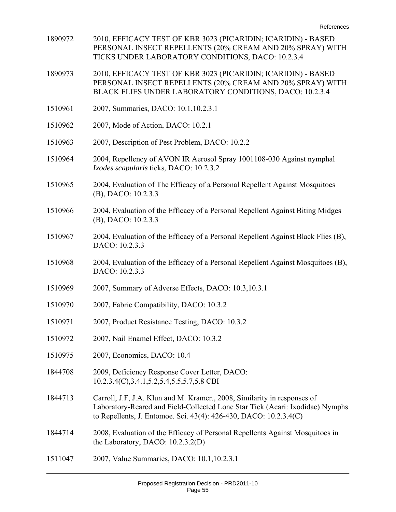| 1890972 | 2010, EFFICACY TEST OF KBR 3023 (PICARIDIN; ICARIDIN) - BASED<br>PERSONAL INSECT REPELLENTS (20% CREAM AND 20% SPRAY) WITH<br>TICKS UNDER LABORATORY CONDITIONS, DACO: 10.2.3.4                                                |
|---------|--------------------------------------------------------------------------------------------------------------------------------------------------------------------------------------------------------------------------------|
| 1890973 | 2010, EFFICACY TEST OF KBR 3023 (PICARIDIN; ICARIDIN) - BASED<br>PERSONAL INSECT REPELLENTS (20% CREAM AND 20% SPRAY) WITH<br>BLACK FLIES UNDER LABORATORY CONDITIONS, DACO: 10.2.3.4                                          |
| 1510961 | 2007, Summaries, DACO: 10.1, 10.2.3.1                                                                                                                                                                                          |
| 1510962 | 2007, Mode of Action, DACO: 10.2.1                                                                                                                                                                                             |
| 1510963 | 2007, Description of Pest Problem, DACO: 10.2.2                                                                                                                                                                                |
| 1510964 | 2004, Repellency of AVON IR Aerosol Spray 1001108-030 Against nymphal<br>Ixodes scapularis ticks, DACO: 10.2.3.2                                                                                                               |
| 1510965 | 2004, Evaluation of The Efficacy of a Personal Repellent Against Mosquitoes<br>(B), DACO: 10.2.3.3                                                                                                                             |
| 1510966 | 2004, Evaluation of the Efficacy of a Personal Repellent Against Biting Midges<br>(B), DACO: 10.2.3.3                                                                                                                          |
| 1510967 | 2004, Evaluation of the Efficacy of a Personal Repellent Against Black Flies (B),<br>DACO: 10.2.3.3                                                                                                                            |
| 1510968 | 2004, Evaluation of the Efficacy of a Personal Repellent Against Mosquitoes (B),<br>DACO: 10.2.3.3                                                                                                                             |
| 1510969 | 2007, Summary of Adverse Effects, DACO: 10.3,10.3.1                                                                                                                                                                            |
| 1510970 | 2007, Fabric Compatibility, DACO: 10.3.2                                                                                                                                                                                       |
| 1510971 | 2007, Product Resistance Testing, DACO: 10.3.2                                                                                                                                                                                 |
| 1510972 | 2007, Nail Enamel Effect, DACO: 10.3.2                                                                                                                                                                                         |
| 1510975 | 2007, Economics, DACO: 10.4                                                                                                                                                                                                    |
| 1844708 | 2009, Deficiency Response Cover Letter, DACO:<br>10.2.3.4(C), 3.4.1, 5.2, 5.4, 5.5, 5.7, 5.8 CBI                                                                                                                               |
| 1844713 | Carroll, J.F, J.A. Klun and M. Kramer., 2008, Similarity in responses of<br>Laboratory-Reared and Field-Collected Lone Star Tick (Acari: Ixodidae) Nymphs<br>to Repellents, J. Entomoe. Sci. 43(4): 426-430, DACO: 10.2.3.4(C) |
| 1844714 | 2008, Evaluation of the Efficacy of Personal Repellents Against Mosquitoes in<br>the Laboratory, DACO: $10.2.3.2(D)$                                                                                                           |
| 1511047 | 2007, Value Summaries, DACO: 10.1, 10.2.3.1                                                                                                                                                                                    |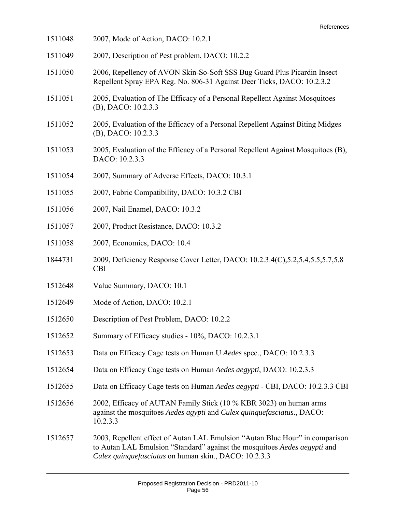| 1511048 | 2007, Mode of Action, DACO: 10.2.1                                                                                                                                                                                 |
|---------|--------------------------------------------------------------------------------------------------------------------------------------------------------------------------------------------------------------------|
| 1511049 | 2007, Description of Pest problem, DACO: 10.2.2                                                                                                                                                                    |
| 1511050 | 2006, Repellency of AVON Skin-So-Soft SSS Bug Guard Plus Picardin Insect<br>Repellent Spray EPA Reg. No. 806-31 Against Deer Ticks, DACO: 10.2.3.2                                                                 |
| 1511051 | 2005, Evaluation of The Efficacy of a Personal Repellent Against Mosquitoes<br>(B), DACO: 10.2.3.3                                                                                                                 |
| 1511052 | 2005, Evaluation of the Efficacy of a Personal Repellent Against Biting Midges<br>(B), DACO: 10.2.3.3                                                                                                              |
| 1511053 | 2005, Evaluation of the Efficacy of a Personal Repellent Against Mosquitoes (B),<br>DACO: 10.2.3.3                                                                                                                 |
| 1511054 | 2007, Summary of Adverse Effects, DACO: 10.3.1                                                                                                                                                                     |
| 1511055 | 2007, Fabric Compatibility, DACO: 10.3.2 CBI                                                                                                                                                                       |
| 1511056 | 2007, Nail Enamel, DACO: 10.3.2                                                                                                                                                                                    |
| 1511057 | 2007, Product Resistance, DACO: 10.3.2                                                                                                                                                                             |
| 1511058 | 2007, Economics, DACO: 10.4                                                                                                                                                                                        |
| 1844731 | 2009, Deficiency Response Cover Letter, DACO: 10.2.3.4(C), 5.2, 5.4, 5.5, 5.7, 5.8<br><b>CBI</b>                                                                                                                   |
| 1512648 | Value Summary, DACO: 10.1                                                                                                                                                                                          |
| 1512649 | Mode of Action, DACO: 10.2.1                                                                                                                                                                                       |
| 1512650 | Description of Pest Problem, DACO: 10.2.2                                                                                                                                                                          |
| 1512652 | Summary of Efficacy studies - 10%, DACO: 10.2.3.1                                                                                                                                                                  |
| 1512653 | Data on Efficacy Cage tests on Human U Aedes spec., DACO: 10.2.3.3                                                                                                                                                 |
| 1512654 | Data on Efficacy Cage tests on Human Aedes aegypti, DACO: 10.2.3.3                                                                                                                                                 |
| 1512655 | Data on Efficacy Cage tests on Human Aedes aegypti - CBI, DACO: 10.2.3.3 CBI                                                                                                                                       |
| 1512656 | 2002, Efficacy of AUTAN Family Stick (10 % KBR 3023) on human arms<br>against the mosquitoes Aedes agypti and Culex quinquefasciatus., DACO:<br>10.2.3.3                                                           |
| 1512657 | 2003, Repellent effect of Autan LAL Emulsion "Autan Blue Hour" in comparison<br>to Autan LAL Emulsion "Standard" against the mosquitoes Aedes aegypti and<br>Culex quinquefasciatus on human skin., DACO: 10.2.3.3 |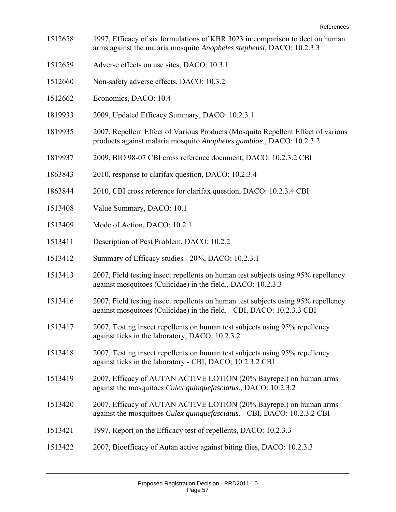| 1512658 | 1997, Efficacy of six formulations of KBR 3023 in comparison to deet on human<br>arms against the malaria mosquito Anopheles stephensi, DACO: 10.2.3.3      |
|---------|-------------------------------------------------------------------------------------------------------------------------------------------------------------|
| 1512659 | Adverse effects on use sites, DACO: 10.3.1                                                                                                                  |
| 1512660 | Non-safety adverse effects, DACO: 10.3.2                                                                                                                    |
| 1512662 | Economics, DACO: 10.4                                                                                                                                       |
| 1819933 | 2009, Updated Efficacy Summary, DACO: 10.2.3.1                                                                                                              |
| 1819935 | 2007, Repellent Effect of Various Products (Mosquito Repellent Effect of various<br>products against malaria mosquito Anopheles gambiae., DACO: 10.2.3.2    |
| 1819937 | 2009, BIO 98-07 CBI cross reference document, DACO: 10.2.3.2 CBI                                                                                            |
| 1863843 | 2010, response to clarifax question, DACO: 10.2.3.4                                                                                                         |
| 1863844 | 2010, CBI cross reference for clarifax question, DACO: 10.2.3.4 CBI                                                                                         |
| 1513408 | Value Summary, DACO: 10.1                                                                                                                                   |
| 1513409 | Mode of Action, DACO: 10.2.1                                                                                                                                |
| 1513411 | Description of Pest Problem, DACO: 10.2.2                                                                                                                   |
| 1513412 | Summary of Efficacy studies - 20%, DACO: 10.2.3.1                                                                                                           |
| 1513413 | 2007, Field testing insect repellents on human test subjects using 95% repellency<br>against mosquitoes (Culicidae) in the field., DACO: 10.2.3.3           |
| 1513416 | 2007, Field testing insect repellents on human test subjects using 95% repellency<br>against mosquitoes (Culicidae) in the field. - CBI, DACO: 10.2.3.3 CBI |
| 1513417 | 2007, Testing insect repellents on human test subjects using 95% repellency<br>against ticks in the laboratory, DACO: 10.2.3.2                              |
| 1513418 | 2007, Testing insect repellents on human test subjects using 95% repellency<br>against ticks in the laboratory - CBI, DACO: 10.2.3.2 CBI                    |
| 1513419 | 2007, Efficacy of AUTAN ACTIVE LOTION (20% Bayrepel) on human arms<br>against the mosquitoes <i>Culex quinquefasciatus</i> ., DACO: 10.2.3.2                |
| 1513420 | 2007, Efficacy of AUTAN ACTIVE LOTION (20% Bayrepel) on human arms<br>against the mosquitoes Culex quinquefasciatus. - CBI, DACO: 10.2.3.2 CBI              |
| 1513421 | 1997, Report on the Efficacy test of repellents, DACO: 10.2.3.3                                                                                             |
| 1513422 | 2007, Bioefficacy of Autan active against biting flies, DACO: 10.2.3.3                                                                                      |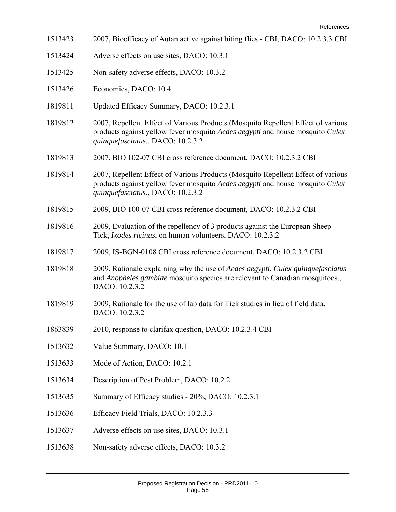| 1513423 | 2007, Bioefficacy of Autan active against biting flies - CBI, DACO: 10.2.3.3 CBI                                                                                                                       |
|---------|--------------------------------------------------------------------------------------------------------------------------------------------------------------------------------------------------------|
| 1513424 | Adverse effects on use sites, DACO: 10.3.1                                                                                                                                                             |
| 1513425 | Non-safety adverse effects, DACO: 10.3.2                                                                                                                                                               |
| 1513426 | Economics, DACO: 10.4                                                                                                                                                                                  |
| 1819811 | Updated Efficacy Summary, DACO: 10.2.3.1                                                                                                                                                               |
| 1819812 | 2007, Repellent Effect of Various Products (Mosquito Repellent Effect of various<br>products against yellow fever mosquito Aedes aegypti and house mosquito Culex<br>quinquefasciatus., DACO: 10.2.3.2 |
| 1819813 | 2007, BIO 102-07 CBI cross reference document, DACO: 10.2.3.2 CBI                                                                                                                                      |
| 1819814 | 2007, Repellent Effect of Various Products (Mosquito Repellent Effect of various<br>products against yellow fever mosquito Aedes aegypti and house mosquito Culex<br>quinquefasciatus., DACO: 10.2.3.2 |
| 1819815 | 2009, BIO 100-07 CBI cross reference document, DACO: 10.2.3.2 CBI                                                                                                                                      |
| 1819816 | 2009, Evaluation of the repellency of 3 products against the European Sheep<br>Tick, Ixodes ricinus, on human volunteers, DACO: 10.2.3.2                                                               |
| 1819817 | 2009, IS-BGN-0108 CBI cross reference document, DACO: 10.2.3.2 CBI                                                                                                                                     |
| 1819818 | 2009, Rationale explaining why the use of Aedes aegypti, Culex quinquefasciatus<br>and Anopheles gambiae mosquito species are relevant to Canadian mosquitoes.,<br>DACO: 10.2.3.2                      |
| 1819819 | 2009, Rationale for the use of lab data for Tick studies in lieu of field data,<br>DACO: 10.2.3.2                                                                                                      |
| 1863839 | 2010, response to clarifax question, DACO: 10.2.3.4 CBI                                                                                                                                                |
| 1513632 | Value Summary, DACO: 10.1                                                                                                                                                                              |
| 1513633 | Mode of Action, DACO: 10.2.1                                                                                                                                                                           |
| 1513634 | Description of Pest Problem, DACO: 10.2.2                                                                                                                                                              |
| 1513635 | Summary of Efficacy studies - 20%, DACO: 10.2.3.1                                                                                                                                                      |
| 1513636 | Efficacy Field Trials, DACO: 10.2.3.3                                                                                                                                                                  |
| 1513637 | Adverse effects on use sites, DACO: 10.3.1                                                                                                                                                             |
| 1513638 | Non-safety adverse effects, DACO: 10.3.2                                                                                                                                                               |